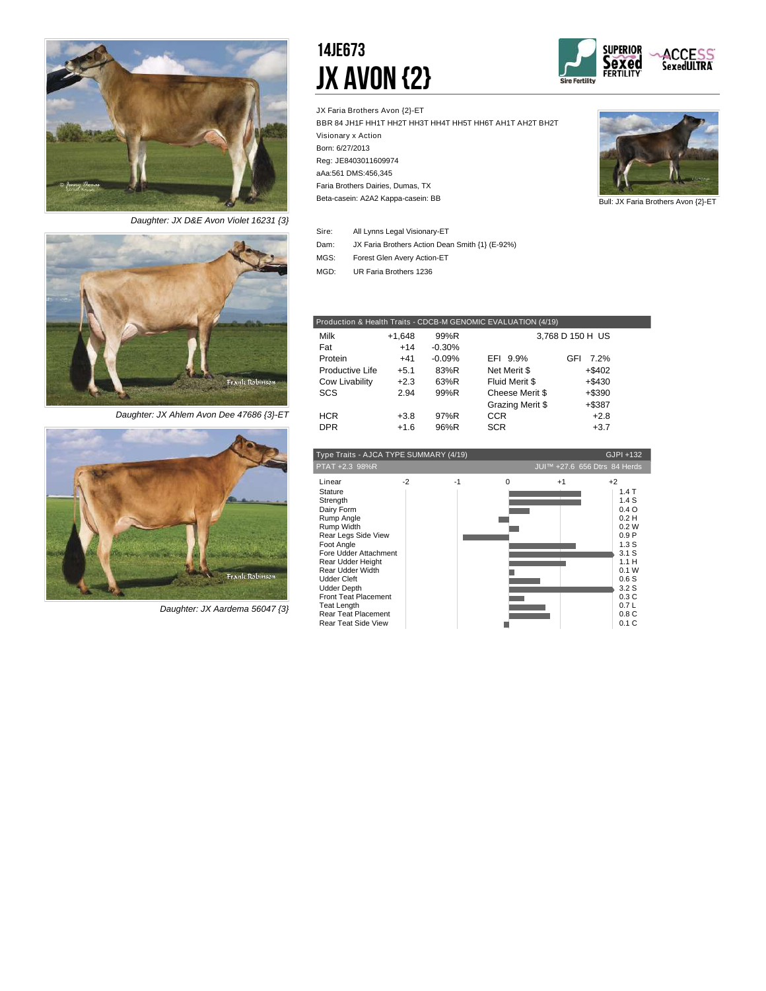

*Daughter: JX D&E Avon Violet 16231 {3}*



*Daughter: JX Ahlem Avon Dee 47686 {3}-ET*



*Daughter: JX Aardema 56047 {3}*

### 14JE673 JX Avon {2}



JX Faria Brothers Avon {2}-ET BBR 84 JH1F HH1T HH2T HH3T HH4T HH5T HH6T AH1T AH2T BH2T Visionary x Action Born: 6/27/2013 Reg: JE8403011609974 aAa:561 DMS:456,345 Beta-casein: A2A2 Kappa-casein: BB Faria Brothers Dairies, Dumas, TX



Bull: JX Faria Brothers Avon {2}-ET

| Sire: | All Lynns Legal Visionary-ET                    |
|-------|-------------------------------------------------|
| Dam:  | JX Faria Brothers Action Dean Smith {1} (E-92%) |

Forest Glen Avery Action-ET MGS:

UR Faria Brothers 1236 MGD:

|                 |          |          | Production & Health Traits - CDCB-M GENOMIC EVALUATION (4/19) |                  |  |
|-----------------|----------|----------|---------------------------------------------------------------|------------------|--|
| Milk            | $+1,648$ | 99%R     |                                                               | 3,768 D 150 H US |  |
| Fat             | $+14$    | $-0.30%$ |                                                               |                  |  |
| Protein         | $+41$    | $-0.09%$ | EFI 9.9%                                                      | 7 2%<br>GFI      |  |
| Productive Life | $+5.1$   | 83%R     | Net Merit \$                                                  | $+$ \$402        |  |
| Cow Livability  | $+2.3$   | 63%R     | Fluid Merit \$                                                | $+$ \$430        |  |
| SCS             | 2.94     | 99%R     | Cheese Merit \$                                               | $+$ \$390        |  |
|                 |          |          | Grazing Merit \$                                              | $+$ \$387        |  |
| <b>HCR</b>      | $+3.8$   | 97%R     | <b>CCR</b>                                                    | $+2.8$           |  |
| <b>DPR</b>      | $+1.6$   | 96%R     | <b>SCR</b>                                                    | $+3.7$           |  |
|                 |          |          |                                                               |                  |  |

| JUI™ +27.6 656 Dtrs 84 Herds<br>PTAT +2.3 98%R<br>$-2$<br>Linear<br>$-1$<br>$+2$<br>$\Omega$<br>$+1$<br>1.4T<br><b>Stature</b><br>1.4S<br>Strength<br>0.4 O<br>Dairy Form<br>0.2H<br>Rump Angle<br>Rump Width<br>0.2W<br>0.9P<br>Rear Legs Side View<br>Foot Angle<br>1.3S<br>Fore Udder Attachment<br>3.1 S<br>1.1H<br>Rear Udder Height<br>Rear Udder Width<br>0.1 W<br>0.6S<br><b>Udder Cleft</b><br><b>Udder Depth</b><br>3.2 <sub>S</sub><br><b>Front Teat Placement</b><br>0.3C | Type Traits - AJCA TYPE SUMMARY (4/19) |  | GJPI +132 |  |
|---------------------------------------------------------------------------------------------------------------------------------------------------------------------------------------------------------------------------------------------------------------------------------------------------------------------------------------------------------------------------------------------------------------------------------------------------------------------------------------|----------------------------------------|--|-----------|--|
|                                                                                                                                                                                                                                                                                                                                                                                                                                                                                       |                                        |  |           |  |
| Rear Teat Placement<br>0.8C<br>0.1C<br><b>Rear Teat Side View</b>                                                                                                                                                                                                                                                                                                                                                                                                                     | Teat Length                            |  | 0.7L      |  |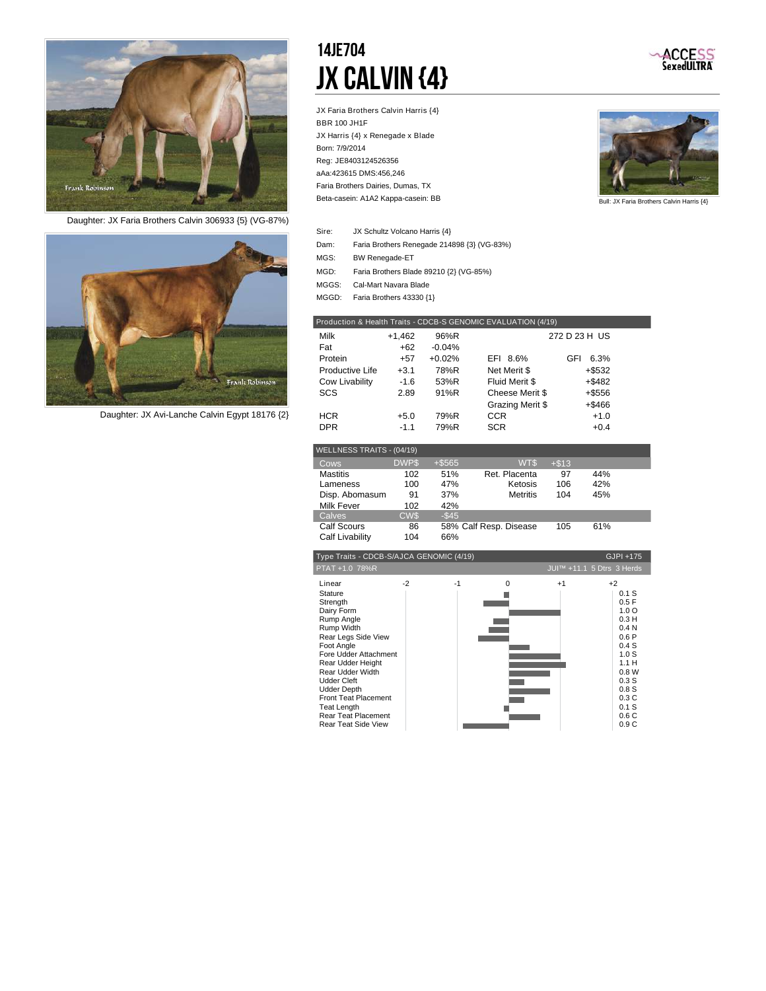

*Daughter: JX Faria Brothers Calvin 306933 {5} (VG-87%)*



*Daughter: JX Avi-Lanche Calvin Egypt 18176 {2}*

### 14JE704 JX Calvin {4}

JX Faria Brothers Calvin Harris {4} BBR 100 JH1F JX Harris {4} x Renegade x Blade Born: 7/9/2014 Reg: JE8403124526356 aAa:423615 DMS:456,246 Beta-casein: A1A2 Kappa-casein: BB Faria Brothers Dairies, Dumas, TX



ACCESS<br>SexedULTRA

Bull: JX Faria Brothers Calvin Harris {4}

| Sire:             | JX Schultz Volcano Harris {4}               |
|-------------------|---------------------------------------------|
| Dam:              | Faria Brothers Renegade 214898 {3} (VG-83%) |
| MGS:              | <b>BW Renegade-ET</b>                       |
| MGD:              | Faria Brothers Blade 89210 {2} (VG-85%)     |
| MGGS <sup>.</sup> | Cal-Mart Navara Blade                       |

MGGD: Faria Brothers 43330 {1}

|                 |          |          | Production & Health Traits - CDCB-S GENOMIC EVALUATION (4/19) |               |  |
|-----------------|----------|----------|---------------------------------------------------------------|---------------|--|
| Milk            | $+1,462$ | 96%R     |                                                               | 272 D 23 H US |  |
| Fat             | +62      | $-0.04%$ |                                                               |               |  |
| Protein         | $+57$    | $+0.02%$ | EFI 8.6%                                                      | GFI<br>6.3%   |  |
| Productive Life | $+3.1$   | 78%R     | Net Merit \$                                                  | $+$ \$532     |  |
| Cow Livability  | $-1.6$   | 53%R     | Fluid Merit \$                                                | $+$ \$482     |  |
| <b>SCS</b>      | 2.89     | 91%R     | Cheese Merit \$                                               | $+$ \$556     |  |
|                 |          |          | Grazing Merit \$                                              | +\$466        |  |
| <b>HCR</b>      | $+5.0$   | 79%R     | CCR                                                           | $+1.0$        |  |
| <b>DPR</b>      | $-1.1$   | 79%R     | <b>SCR</b>                                                    | $+0.4$        |  |

| WELLNESS TRAITS - (04/19) |             |          |                        |         |     |  |
|---------------------------|-------------|----------|------------------------|---------|-----|--|
| Cows                      | <b>DWPS</b> | $+ $565$ | WT\$                   | $+ $13$ |     |  |
| <b>Mastitis</b>           | 102         | 51%      | Ret. Placenta          | 97      | 44% |  |
| Lameness                  | 100         | 47%      | Ketosis                | 106     | 42% |  |
| Disp. Abomasum            | 91          | 37%      | <b>Metritis</b>        | 104     | 45% |  |
| <b>Milk Fever</b>         | 102         | 42%      |                        |         |     |  |
| Calves                    | <b>CW\$</b> | $-$ \$45 |                        |         |     |  |
| <b>Calf Scours</b>        | 86          |          | 58% Calf Resp. Disease | 105     | 61% |  |
| Calf Livability           | 104         | 66%      |                        |         |     |  |

| Type Traits - CDCB-S/AJCA GENOMIC (4/19)                                                                                                                                                                                                                                                                                                           |      |      |          |      | GJPI +175                                                                                                                                                                  |
|----------------------------------------------------------------------------------------------------------------------------------------------------------------------------------------------------------------------------------------------------------------------------------------------------------------------------------------------------|------|------|----------|------|----------------------------------------------------------------------------------------------------------------------------------------------------------------------------|
| PTAT +1.0 78%R                                                                                                                                                                                                                                                                                                                                     |      |      |          |      | JUI™ +11.1 5 Dtrs 3 Herds                                                                                                                                                  |
| Linear<br><b>Stature</b><br>Strength<br>Dairy Form<br>Rump Angle<br>Rump Width<br>Rear Legs Side View<br>Foot Angle<br>Fore Udder Attachment<br>Rear Udder Height<br>Rear Udder Width<br><b>Udder Cleft</b><br><b>Udder Depth</b><br><b>Front Teat Placement</b><br><b>Teat Length</b><br><b>Rear Teat Placement</b><br><b>Rear Teat Side View</b> | $-2$ | $-1$ | $\Omega$ | $+1$ | $+2$<br>0.1 S<br>0.5F<br>1.0 <sub>O</sub><br>0.3H<br>0.4 <sub>N</sub><br>0.6P<br>0.4S<br>1.0 <sub>S</sub><br>1.1H<br>0.8W<br>0.3S<br>0.8S<br>0.3C<br>0.1 S<br>0.6C<br>0.9C |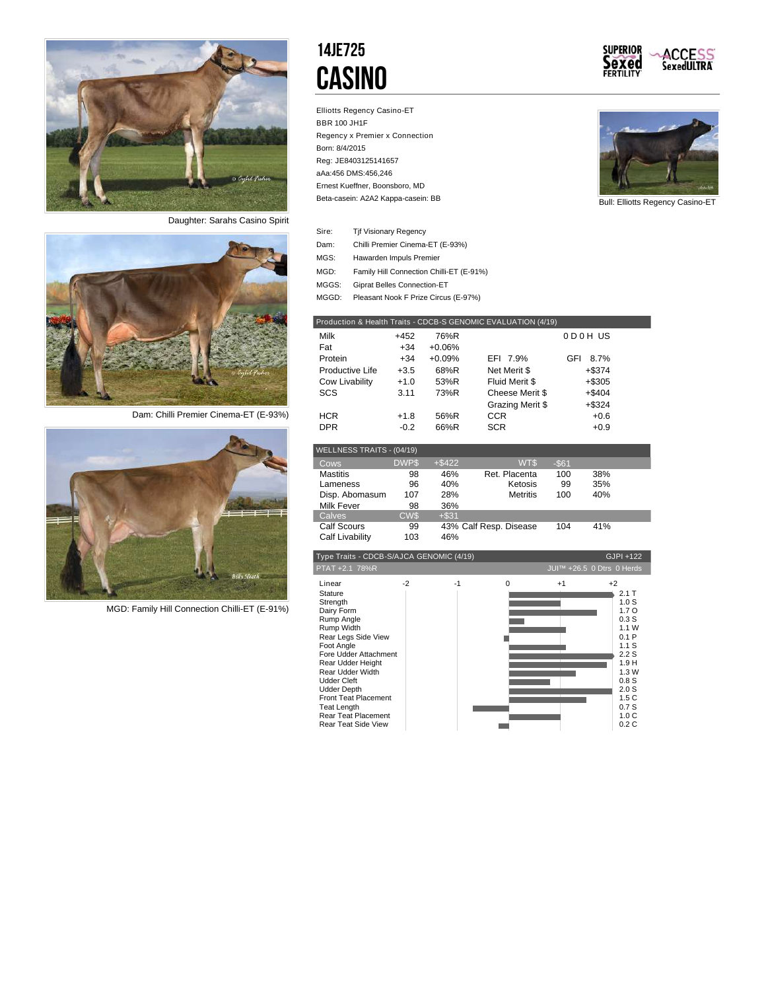

*Daughter: Sarahs Casino Spirit*



*Dam: Chilli Premier Cinema-ET (E-93%)*



*MGD: Family Hill Connection Chilli-ET (E-91%)*

### 14JE725 **CASINO**

Elliotts Regency Casino-ET BBR 100 JH1F Regency x Premier x Connection Born: 8/4/2015 Reg: JE8403125141657 aAa:456 DMS:456,246 Beta-casein: A2A2 Kappa-casein: BB Ernest Kueffner, Boonsboro, MD





Bull: Elliotts Regency Casino-ET

| Sire: | <b>Tif Visionary Regency</b>             |
|-------|------------------------------------------|
| Dam:  | Chilli Premier Cinema-ET (E-93%)         |
| MGS:  | Hawarden Impuls Premier                  |
| MGD:  | Family Hill Connection Chilli-ET (E-91%) |
| MGGS: | <b>Giprat Belles Connection-ET</b>       |
|       |                                          |

MGGD: Pleasant Nook F Prize Circus (E-97%)

|                 |        |          | Production & Health Traits - CDCB-S GENOMIC EVALUATION (4/19) |             |  |
|-----------------|--------|----------|---------------------------------------------------------------|-------------|--|
| Milk            | $+452$ | 76%R     |                                                               | 0D0HUS      |  |
| Fat             | +34    | $+0.06%$ |                                                               |             |  |
| Protein         | $+34$  | $+0.09%$ | EFI 7.9%                                                      | GFI<br>8.7% |  |
| Productive Life | $+3.5$ | 68%R     | Net Merit \$                                                  | $+$ \$374   |  |
| Cow Livability  | $+1.0$ | 53%R     | Fluid Merit \$                                                | $+ $305$    |  |
| SCS             | 3.11   | 73%R     | Cheese Merit \$                                               | $+$ \$404   |  |
|                 |        |          | Grazing Merit \$                                              | $+$ \$324   |  |
| <b>HCR</b>      | $+1.8$ | 56%R     | <b>CCR</b>                                                    | $+0.6$      |  |
| <b>DPR</b>      | $-0.2$ | 66%R     | <b>SCR</b>                                                    | $+0.9$      |  |

| WELLNESS TRAITS - (04/19) |             |           |                        |          |     |  |
|---------------------------|-------------|-----------|------------------------|----------|-----|--|
| Cows                      | <b>DWPS</b> | $+$ \$422 | WT\$                   | $-$ \$61 |     |  |
| <b>Mastitis</b>           | 98          | 46%       | Ret. Placenta          | 100      | 38% |  |
| Lameness                  | 96          | 40%       | Ketosis                | 99       | 35% |  |
| Disp. Abomasum            | 107         | 28%       | <b>Metritis</b>        | 100      | 40% |  |
| Milk Fever                | 98          | 36%       |                        |          |     |  |
| Calves                    | <b>CW\$</b> | $+ $31$   |                        |          |     |  |
| <b>Calf Scours</b>        | 99          |           | 43% Calf Resp. Disease | 104      | 41% |  |
| Calf Livability           | 103         | 46%       |                        |          |     |  |

| Type Traits - CDCB-S/AJCA GENOMIC (4/19)                                                                                                                                                                                                                                               |      |      |          |      | GJPI +122                                                                                                                                        |
|----------------------------------------------------------------------------------------------------------------------------------------------------------------------------------------------------------------------------------------------------------------------------------------|------|------|----------|------|--------------------------------------------------------------------------------------------------------------------------------------------------|
| PTAT +2.1 78%R                                                                                                                                                                                                                                                                         |      |      |          |      | JUI™ +26.5 0 Dtrs 0 Herds                                                                                                                        |
| Linear<br><b>Stature</b><br>Strength<br>Dairy Form<br>Rump Angle<br>Rump Width<br>Rear Legs Side View<br>Foot Angle<br>Fore Udder Attachment<br>Rear Udder Height<br>Rear Udder Width<br><b>Udder Cleft</b><br><b>Udder Depth</b><br><b>Front Teat Placement</b><br><b>Teat Length</b> | $-2$ | $-1$ | $\Omega$ | $+1$ | $+2$<br>$2.1$ T<br>1.0 <sub>S</sub><br>1.7 <sub>O</sub><br>0.3S<br>1.1W<br>0.1P<br>1.1S<br>2.2S<br>1.9 H<br>1.3W<br>0.8S<br>2.0S<br>1.5C<br>0.7S |
| Rear Teat Placement<br><b>Rear Teat Side View</b>                                                                                                                                                                                                                                      |      |      |          |      | 1.0C<br>0.2C                                                                                                                                     |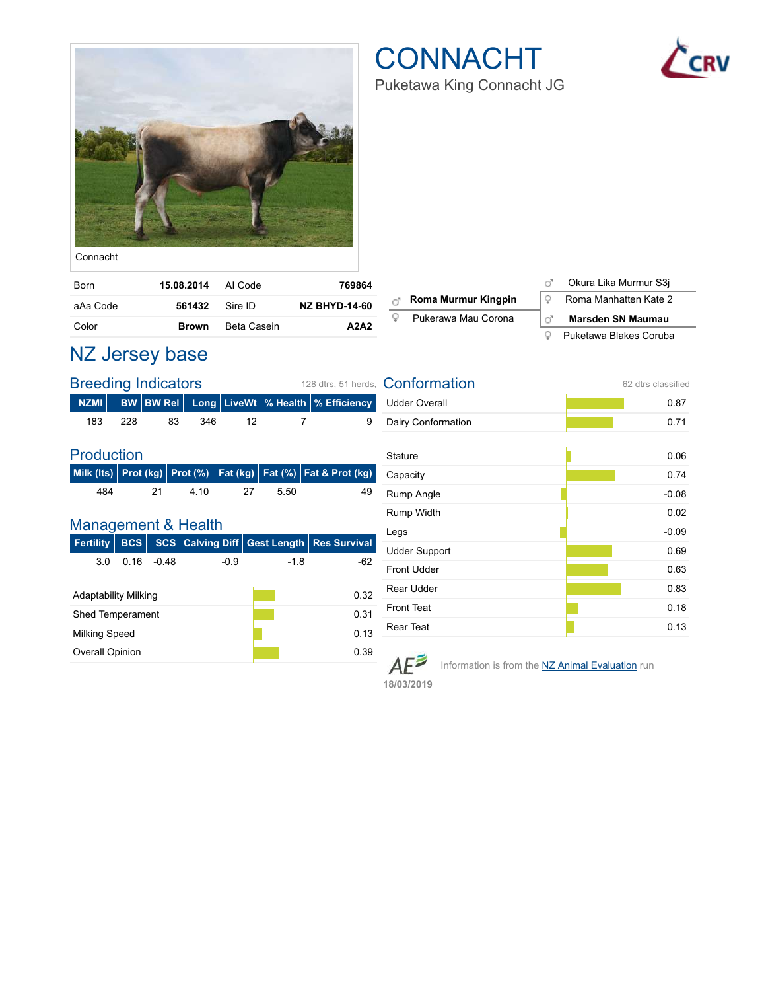

## **CONNACHT**



Puketawa King Connacht JG

| Connacht |
|----------|
|          |

| Born     | 15.08.2014 Al Code |             | 769864               |
|----------|--------------------|-------------|----------------------|
| aAa Code | 561432 Sire ID     |             | <b>NZ BHYD-14-60</b> |
| Color    | <b>Brown</b>       | Beta Casein | A2A2                 |

|    |                     |     | Okura Lika Murmur S3j    |
|----|---------------------|-----|--------------------------|
| тŌ | Roma Murmur Kingpin |     | Roma Manhatten Kate 2    |
|    | Pukerawa Mau Corona | пē. | <b>Marsden SN Maumau</b> |
|    |                     |     | Puketawa Blakes Coruba   |

### NZ Jersey base

|     |       | <b>Breeding Indicators</b> | 128 dtrs. 51 herds. |      |                                                      |
|-----|-------|----------------------------|---------------------|------|------------------------------------------------------|
|     |       |                            |                     |      | NZMI BW BW Rel Long LiveWt   % Health   % Efficiency |
| 183 | - 228 | 83                         | 346                 | - 12 | 9                                                    |

#### Production

|     |     |       |      |      | Milk (Its) Prot (kg) Prot (%) Fat (kg) Fat (%) Fat & Prot (kg) |
|-----|-----|-------|------|------|----------------------------------------------------------------|
| 484 | -21 | -4.10 | - 27 | 5.50 | 49                                                             |

#### Management & Health

| Fertility               | <b>BCS</b> |         |        |        | <b>SCS Calving Diff Gest Length Res Survival</b> |  |  |
|-------------------------|------------|---------|--------|--------|--------------------------------------------------|--|--|
| 3.0                     | 0 16       | $-0.48$ | $-0.9$ | $-1.8$ | -62                                              |  |  |
|                         |            |         |        |        |                                                  |  |  |
| Adaptability Milking    |            |         |        |        | 0.32                                             |  |  |
| <b>Shed Temperament</b> |            |         |        | 0.31   |                                                  |  |  |
| Milking Speed           |            |         |        | 0.13   |                                                  |  |  |
| <b>Overall Opinion</b>  |            |         |        |        | 0.39                                             |  |  |

| Conformation         | 62 dtrs classified |
|----------------------|--------------------|
| <b>Udder Overall</b> | 0.87               |
| Dairy Conformation   | 0.71               |
| <b>Stature</b>       | 0.06               |
| Capacity             | 0.74               |
| Rump Angle           | $-0.08$            |
| Rump Width           | 0.02               |
| Legs                 | $-0.09$            |
| <b>Udder Support</b> | 0.69               |
| <b>Front Udder</b>   | 0.63               |
| <b>Rear Udder</b>    | 0.83               |
| <b>Front Teat</b>    | 0.18               |
| Rear Teat            | 0.13               |

 $AE^{\geq}$ 

Information is from the **NZ Animal Evaluation** run

**18/03/2019**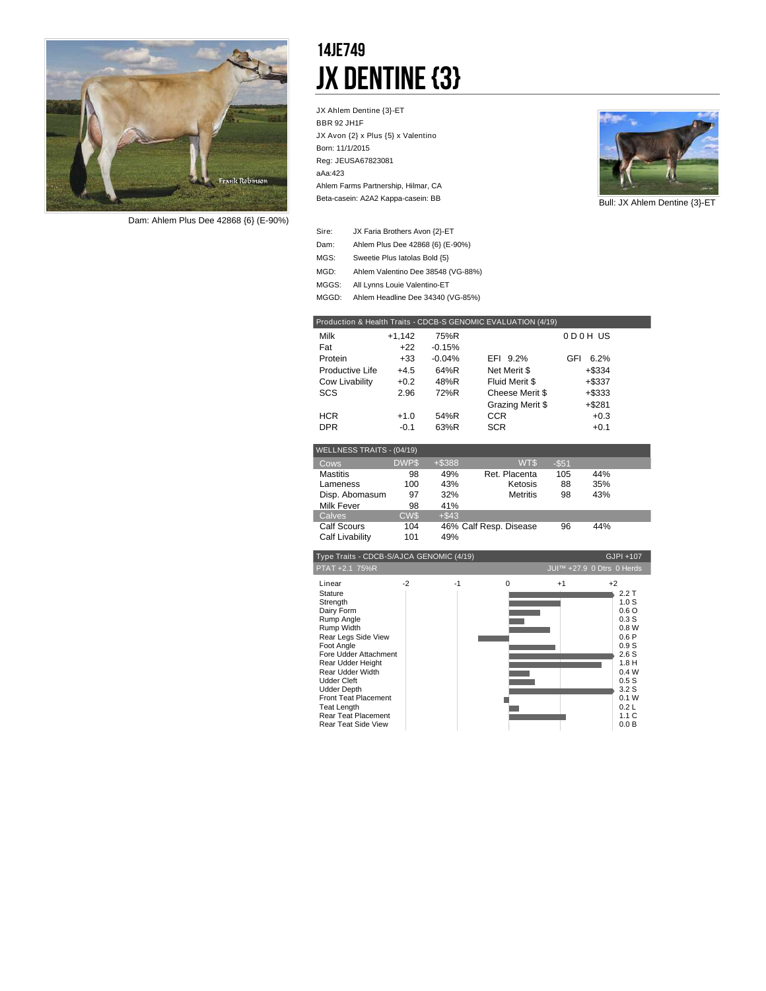

*Dam: Ahlem Plus Dee 42868 {6} (E-90%)*

### 14JE749 JX Dentine {3}

JX Ahlem Dentine {3}-ET BBR 92 JH1F JX Avon {2} x Plus {5} x Valentino Born: 11/1/2015 Reg: JEUSA67823081 aAa:423 Beta-casein: A2A2 Kappa-casein: BB Ahlem Farms Partnership, Hilmar, CA



Bull: JX Ahlem Dentine {3}-ET

| Sire: | JX Faria Brothers Avon {2}-ET      |
|-------|------------------------------------|
| Dam:  | Ahlem Plus Dee 42868 {6} (E-90%)   |
| MGS:  | Sweetie Plus latolas Bold {5}      |
| MGD:  | Ahlem Valentino Dee 38548 (VG-88%) |
| MGGS: | All Lynns Louie Valentino-ET       |
| MGGD: | Ahlem Headline Dee 34340 (VG-85%)  |

| Production & Health Traits - CDCB-S GENOMIC EVALUATION (4/19) |             |          |                  |          |           |  |  |
|---------------------------------------------------------------|-------------|----------|------------------|----------|-----------|--|--|
| Milk                                                          | $+1,142$    | 75%R     |                  |          | 0D0HUS    |  |  |
| Fat                                                           | $+22$       | $-0.15%$ |                  |          |           |  |  |
| Protein                                                       | $+33$       | $-0.04%$ | EFI 9.2%         | GFI      | 6.2%      |  |  |
| Productive Life                                               | $+4.5$      | 64%R     | Net Merit \$     |          | $+$ \$334 |  |  |
| Cow Livability                                                | $+0.2$      | 48%R     | Fluid Merit \$   |          | $+$ \$337 |  |  |
| SCS                                                           | 2.96        | 72%R     | Cheese Merit \$  |          | +\$333    |  |  |
|                                                               |             |          | Grazing Merit \$ |          | $+$ \$281 |  |  |
| <b>HCR</b>                                                    | $+1.0$      | 54%R     | <b>CCR</b>       |          | $+0.3$    |  |  |
| <b>DPR</b>                                                    | $-0.1$      | 63%R     | <b>SCR</b>       |          | $+0.1$    |  |  |
|                                                               |             |          |                  |          |           |  |  |
| WELLNESS TRAITS - (04/19)                                     |             |          |                  |          |           |  |  |
| Cows                                                          | <b>DWPS</b> | +\$388   | WT\$             | $-$ \$51 |           |  |  |
| <b>Mastitis</b>                                               | 98          | 49%      | Ret. Placenta    | 105      | 44%       |  |  |
| Lameness                                                      | 100         | 43%      | Ketosis          | 88       | 35%       |  |  |
| Disp. Abomasum                                                | 97          | 32%      | <b>Metritis</b>  | 98       | 43%       |  |  |
| Milk Fever                                                    | 98          | 41%      |                  |          |           |  |  |
| Calves                                                        | CW\$        | $+$ \$43 |                  |          |           |  |  |

Calf Scours Calf Scours 104 46% Calf Resp. Disease 96 Calf Livability 101 44%

| Type Traits - CDCB-S/AJCA GENOMIC (4/19)                                                                                                                                                                                                                                                                                      |      |                           |          |      |                                                                                                                                                    |
|-------------------------------------------------------------------------------------------------------------------------------------------------------------------------------------------------------------------------------------------------------------------------------------------------------------------------------|------|---------------------------|----------|------|----------------------------------------------------------------------------------------------------------------------------------------------------|
| PTAT +2.1 75%R                                                                                                                                                                                                                                                                                                                |      | JUI™ +27.9 0 Dtrs 0 Herds |          |      |                                                                                                                                                    |
| Linear<br>Stature<br>Strength<br>Dairy Form<br>Rump Angle<br>Rump Width<br>Rear Legs Side View<br>Foot Angle<br>Fore Udder Attachment<br>Rear Udder Height<br>Rear Udder Width<br><b>Udder Cleft</b><br><b>Udder Depth</b><br>Front Teat Placement<br><b>Teat Length</b><br>Rear Teat Placement<br><b>Rear Teat Side View</b> | $-2$ | $-1$                      | $\Omega$ | $+1$ | $+2$<br>2.2T<br>1.0 <sub>S</sub><br>0.6O<br>0.3S<br>0.8W<br>0.6P<br>0.9S<br>2.6S<br>1.8H<br>0.4W<br>0.5S<br>3.2S<br>0.1 W<br>0.2L<br>1.1C<br>0.0 B |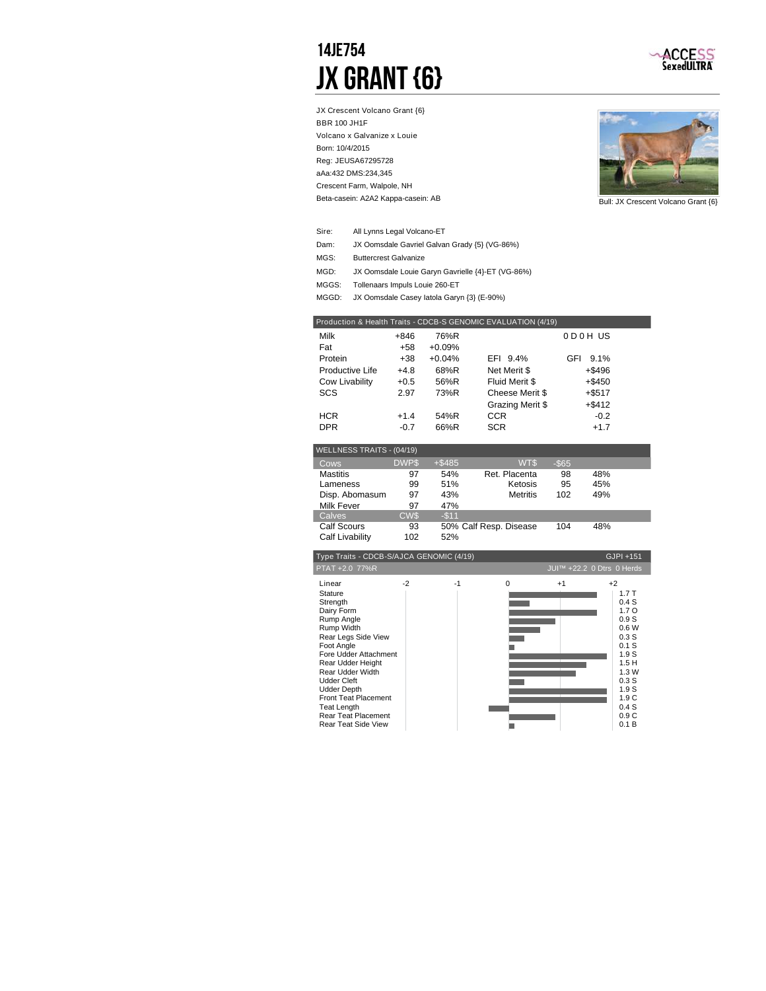### 14JE754 JX Grant {6}



JX Crescent Volcano Grant {6} BBR 100 JH1F Volcano x Galvanize x Louie Born: 10/4/2015 Reg: JEUSA67295728 aAa:432 DMS:234,345 Beta-casein: A2A2 Kappa-casein: AB Crescent Farm, Walpole, NH



Bull: JX Crescent Volcano Grant {6}

- All Lynns Legal Volcano-ET Sire:
- Dam: JX Oomsdale Gavriel Galvan Grady {5} (VG-86%)
- Buttercrest Galvanize MGS:
- JX Oomsdale Louie Garyn Gavrielle {4}-ET (VG-86%) MGD:
- MGGS: Tollenaars Impuls Louie 260-ET
- MGGD: JX Oomsdale Casey latola Garyn {3} (E-90%)

| Production & Health Traits - CDCB-S GENOMIC EVALUATION (4/19) |        |          |                  |             |  |  |
|---------------------------------------------------------------|--------|----------|------------------|-------------|--|--|
| Milk                                                          | +846   | 76%R     |                  | 0D0HUS      |  |  |
| Fat                                                           | +58    | $+0.09%$ |                  |             |  |  |
| Protein                                                       | +38    | $+0.04%$ | EFI 9.4%         | GFI<br>9.1% |  |  |
| Productive Life                                               | $+4.8$ | 68%R     | Net Merit \$     | $+$ \$496   |  |  |
| Cow Livability                                                | $+0.5$ | 56%R     | Fluid Merit \$   | $+$ \$450   |  |  |
| SCS                                                           | 2.97   | 73%R     | Cheese Merit \$  | $+$ \$517   |  |  |
|                                                               |        |          | Grazing Merit \$ | $+$ \$412   |  |  |
| <b>HCR</b>                                                    | $+1.4$ | 54%R     | <b>CCR</b>       | $-0.2$      |  |  |
| <b>DPR</b>                                                    | $-0.7$ | 66%R     | <b>SCR</b>       | $+1.7$      |  |  |
|                                                               |        |          |                  |             |  |  |

| <b>WELLNESS TRAITS - (04/19)</b> |             |           |                        |          |     |  |
|----------------------------------|-------------|-----------|------------------------|----------|-----|--|
| Cows                             | <b>DWPS</b> | $+$ \$485 | WT\$                   | $-$ \$65 |     |  |
| <b>Mastitis</b>                  | 97          | 54%       | Ret. Placenta          | 98       | 48% |  |
| Lameness                         | 99          | 51%       | Ketosis                | 95       | 45% |  |
| Disp. Abomasum                   | 97          | 43%       | <b>Metritis</b>        | 102      | 49% |  |
| Milk Fever                       | 97          | 47%       |                        |          |     |  |
| Calves                           | <b>CWS</b>  | $-$11$    |                        |          |     |  |
| <b>Calf Scours</b>               | 93          |           | 50% Calf Resp. Disease | 104      | 48% |  |
| Calf Livability                  | 102         | 52%       |                        |          |     |  |
|                                  |             |           |                        |          |     |  |

| Type Traits - CDCB-S/AJCA GENOMIC (4/19)<br>GJPI +151                                                                                                                                                                                                                                                                         |                           |      |          |      |                                                                                                                                                   |  |
|-------------------------------------------------------------------------------------------------------------------------------------------------------------------------------------------------------------------------------------------------------------------------------------------------------------------------------|---------------------------|------|----------|------|---------------------------------------------------------------------------------------------------------------------------------------------------|--|
| PTAT +2.0 77%R                                                                                                                                                                                                                                                                                                                | JUI™ +22.2 0 Dtrs 0 Herds |      |          |      |                                                                                                                                                   |  |
| Linear<br>Stature<br>Strength<br>Dairy Form<br>Rump Angle<br>Rump Width<br>Rear Legs Side View<br>Foot Angle<br>Fore Udder Attachment<br>Rear Udder Height<br>Rear Udder Width<br><b>Udder Cleft</b><br><b>Udder Depth</b><br><b>Front Teat Placement</b><br>Teat Length<br>Rear Teat Placement<br><b>Rear Teat Side View</b> | $-2$                      | $-1$ | $\Omega$ | $+1$ | $+2$<br>1.7T<br>0.4S<br>1.7 <sub>O</sub><br>0.9S<br>0.6W<br>0.3S<br>0.1S<br>1.9S<br>1.5H<br>1.3W<br>0.3S<br>1.9S<br>1.9C<br>0.4S<br>0.9C<br>0.1 B |  |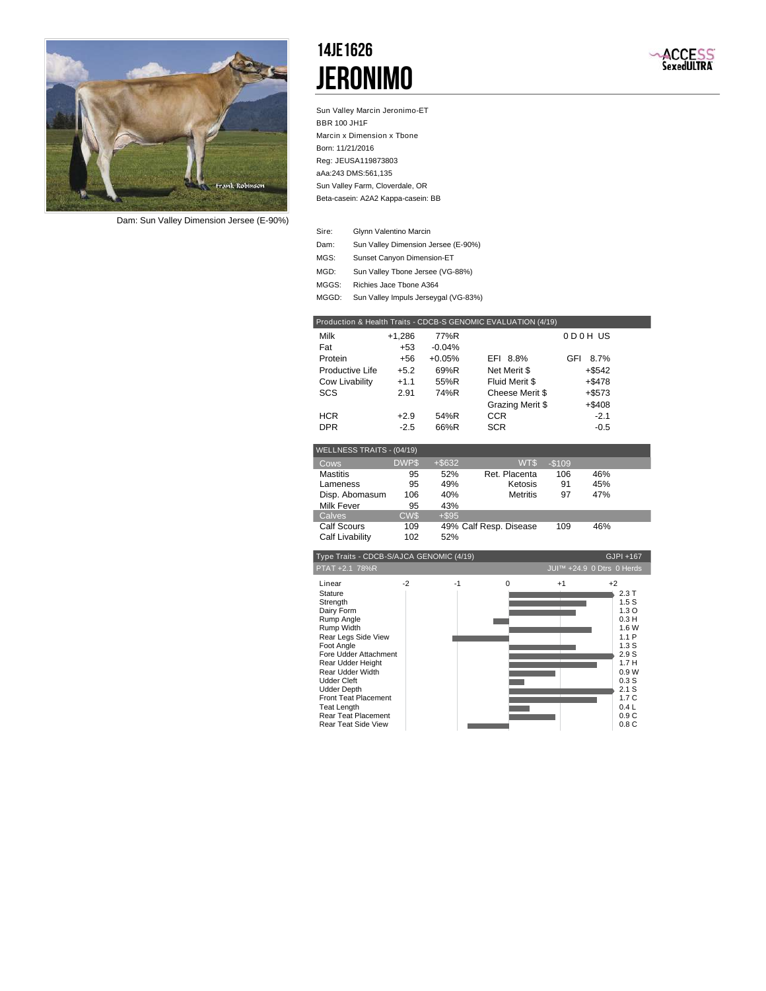

*Dam: Sun Valley Dimension Jersee (E-90%)*

### 14JE1626 Jeronimo



Sun Valley Marcin Jeronimo-ET BBR 100 JH1F Marcin x Dimension x Tbone Born: 11/21/2016 Reg: JEUSA119873803 aAa:243 DMS:561,135 Beta-casein: A2A2 Kappa-casein: BB Sun Valley Farm, Cloverdale, OR

- Glynn Valentino Marcin Sire:
- Dam: Sun Valley Dimension Jersee (E-90%)
- Sunset Canyon Dimension-ET MGS:
- Sun Valley Tbone Jersee (VG-88%) MGD:
- MGGS: Richies Jace Tbone A364
- MGGD: Sun Valley Impuls Jerseygal (VG-83%)

| Milk            | $+1,286$ | 77%R     |                  | 0 D 0 H US  |
|-----------------|----------|----------|------------------|-------------|
| Fat             | $+53$    | $-0.04%$ |                  |             |
| Protein         | +56      | $+0.05%$ | EFI 8.8%         | GFI<br>8.7% |
| Productive Life | $+5.2$   | 69%R     | Net Merit \$     | +\$542      |
| Cow Livability  | $+1.1$   | 55%R     | Fluid Merit \$   | $+ $478$    |
| SCS             | 2.91     | 74%R     | Cheese Merit \$  | $+ $573$    |
|                 |          |          | Grazing Merit \$ | $+$ \$408   |
| <b>HCR</b>      | $+2.9$   | 54%R     | CCR              | $-2.1$      |
| <b>DPR</b>      | $-2.5$   | 66%R     | <b>SCR</b>       | $-0.5$      |

| $VCLLIVLOO INATIO - (07/19)$ |             |           |                        |         |     |  |
|------------------------------|-------------|-----------|------------------------|---------|-----|--|
| Cows                         | <b>DWPS</b> | $+$ \$632 | WT\$                   | $-$109$ |     |  |
| <b>Mastitis</b>              | 95          | 52%       | Ret. Placenta          | 106     | 46% |  |
| Lameness                     | 95          | 49%       | Ketosis                | 91      | 45% |  |
| Disp. Abomasum               | 106         | 40%       | <b>Metritis</b>        | 97      | 47% |  |
| <b>Milk Fever</b>            | 95          | 43%       |                        |         |     |  |
| <b>Calves</b>                | CW\$        | $+$ \$95  |                        |         |     |  |
| <b>Calf Scours</b>           | 109         |           | 49% Calf Resp. Disease | 109     | 46% |  |
| Calf Livability              | 102         | 52%       |                        |         |     |  |

| Type Traits - CDCB-S/AJCA GENOMIC (4/19)                                                                                                                                                                                                                                                                                             |      |      |          |      | GJPI +167                                                                                                                                                      |
|--------------------------------------------------------------------------------------------------------------------------------------------------------------------------------------------------------------------------------------------------------------------------------------------------------------------------------------|------|------|----------|------|----------------------------------------------------------------------------------------------------------------------------------------------------------------|
| PTAT +2.1 78%R                                                                                                                                                                                                                                                                                                                       |      |      |          |      | JUI™ +24.9 0 Dtrs 0 Herds                                                                                                                                      |
| Linear<br>Stature<br>Strength<br>Dairy Form<br>Rump Angle<br>Rump Width<br>Rear Legs Side View<br>Foot Angle<br>Fore Udder Attachment<br>Rear Udder Height<br>Rear Udder Width<br><b>Udder Cleft</b><br><b>Udder Depth</b><br><b>Front Teat Placement</b><br><b>Teat Length</b><br>Rear Teat Placement<br><b>Rear Teat Side View</b> | $-2$ | $-1$ | $\Omega$ | $+1$ | $+2$<br>2.3T<br>1.5S<br>1.3 <sub>O</sub><br>0.3H<br>1.6 W<br>1.1P<br>1.3S<br>2.9S<br>1.7H<br>0.9W<br>0.3S<br>2.1 S<br>1.7 <sub>C</sub><br>0.4L<br>0.9C<br>0.8C |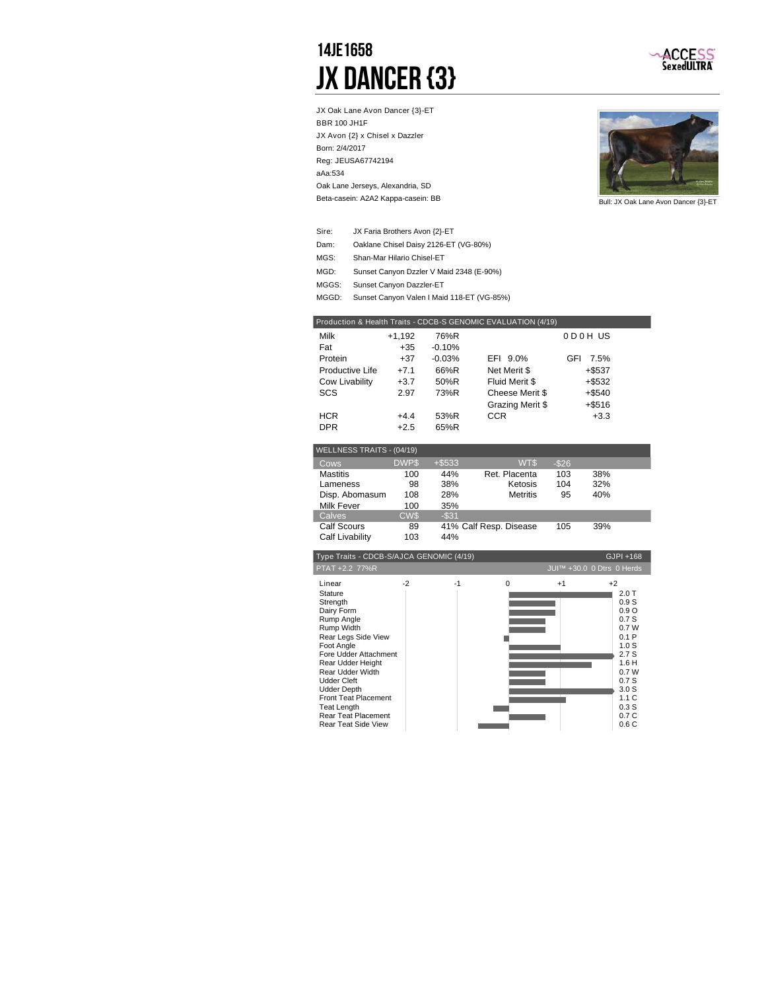### 14JE1658 **JX DANCER {3}**



JX Oak Lane Avon Dancer {3}-ET BBR 100 JH1F JX Avon {2} x Chisel x Dazzler Born: 2/4/2017 Reg: JEUSA67742194 aAa:534 Beta-casein: A2A2 Kappa-casein: BB Oak Lane Jerseys, Alexandria, SD



Bull: JX Oak Lane Avon Dancer {3}-ET

| Sire: | JX Faria Brothers Avon {2}-ET            |
|-------|------------------------------------------|
| Dam:  | Oaklane Chisel Daisy 2126-ET (VG-80%)    |
| MGS:  | Shan-Mar Hilario Chisel-ET               |
| MGD:  | Sunset Canyon Dzzler V Maid 2348 (E-90%) |
| MGGS: | Sunset Canyon Dazzler-ET                 |

MGGD: Sunset Canyon Valen I Maid 118-ET (VG-85%)

| Milk            | $+1,192$ | 76%R     |                  | 0D0HUS             |  |
|-----------------|----------|----------|------------------|--------------------|--|
| Fat             | $+35$    | $-0.10%$ |                  |                    |  |
| Protein         | $+37$    | $-0.03%$ | EFI 9.0%         | <b>GFI</b><br>7.5% |  |
| Productive Life | $+7.1$   | 66%R     | Net Merit \$     | $+$ \$537          |  |
| Cow Livability  | $+3.7$   | 50%R     | Fluid Merit \$   | $+$ \$532          |  |
| <b>SCS</b>      | 2.97     | 73%R     | Cheese Merit \$  | $+$ \$540          |  |
|                 |          |          | Grazing Merit \$ | $+$ \$516          |  |
| <b>HCR</b>      | $+4.4$   | 53%R     | CCR              | $+3.3$             |  |
| <b>DPR</b>      | $+2.5$   | 65%R     |                  |                    |  |

| WELLNESS TRAITS - (04/19) |             |          |                        |          |     |  |
|---------------------------|-------------|----------|------------------------|----------|-----|--|
|                           |             |          |                        |          |     |  |
| Cows                      | <b>DWPS</b> | $+ $533$ | WT\$                   | $-$ \$26 |     |  |
| <b>Mastitis</b>           | 100         | 44%      | Ret. Placenta          | 103      | 38% |  |
| Lameness                  | 98          | 38%      | Ketosis                | 104      | 32% |  |
| Disp. Abomasum            | 108         | 28%      | <b>Metritis</b>        | 95       | 40% |  |
| Milk Fever                | 100         | 35%      |                        |          |     |  |
| Calves                    | <b>CWS</b>  | $-$ \$31 |                        |          |     |  |
| <b>Calf Scours</b>        | 89          |          | 41% Calf Resp. Disease | 105      | 39% |  |
| Calf Livability           | 103         | 44%      |                        |          |     |  |

| Type Traits - CDCB-S/AJCA GENOMIC (4/19)                                                                                                                                                                                                                                                                                      |      |      |          |      | GJPI +168                                                                                                                                        |
|-------------------------------------------------------------------------------------------------------------------------------------------------------------------------------------------------------------------------------------------------------------------------------------------------------------------------------|------|------|----------|------|--------------------------------------------------------------------------------------------------------------------------------------------------|
| PTAT +2.2 77%R                                                                                                                                                                                                                                                                                                                |      |      |          |      | JUI™ +30.0 0 Dtrs 0 Herds                                                                                                                        |
| Linear<br>Stature<br>Strength<br>Dairy Form<br>Rump Angle<br>Rump Width<br>Rear Legs Side View<br>Foot Angle<br>Fore Udder Attachment<br>Rear Udder Height<br>Rear Udder Width<br><b>Udder Cleft</b><br><b>Udder Depth</b><br>Front Teat Placement<br><b>Teat Length</b><br>Rear Teat Placement<br><b>Rear Teat Side View</b> | $-2$ | $-1$ | $\Omega$ | $+1$ | $+2$<br>2.0T<br>0.9S<br>0.9O<br>0.7S<br>0.7W<br>0.1P<br>1.0S<br>2.7S<br>1.6H<br>0.7W<br>0.7S<br>3.0 <sub>S</sub><br>1.1C<br>0.3S<br>0.7C<br>0.6C |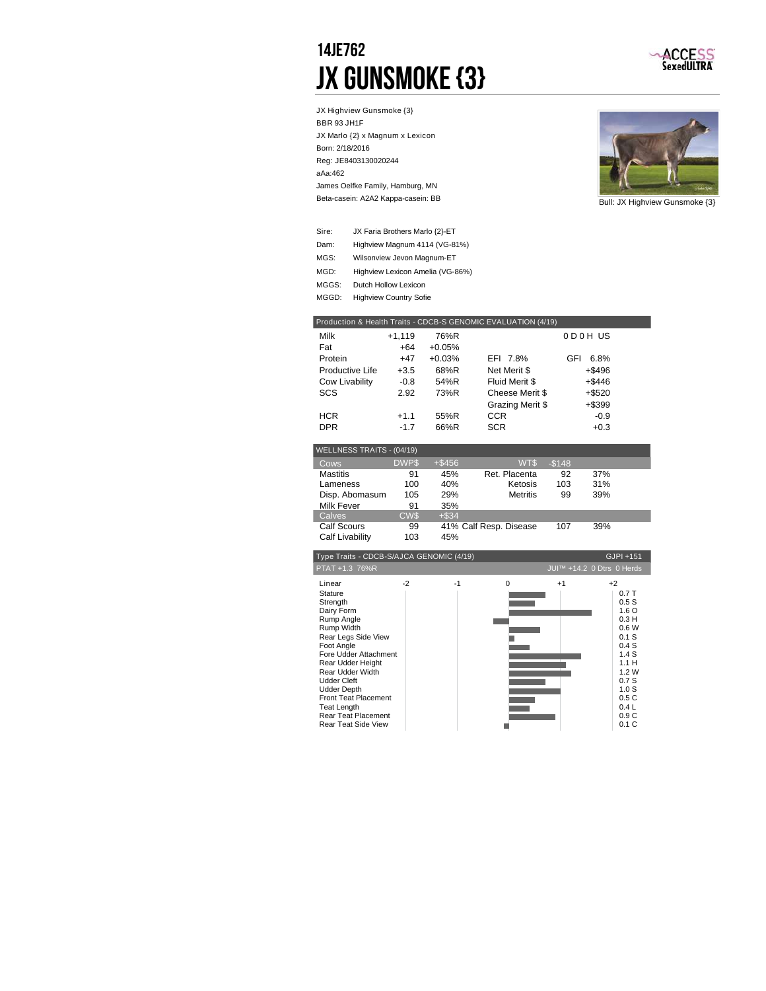### 14JE762 JX Gunsmoke {3}



JX Highview Gunsmoke {3} BBR 93 JH1F JX Marlo {2} x Magnum x Lexicon Born: 2/18/2016 Reg: JE8403130020244 aAa:462 Beta-casein: A2A2 Kappa-casein: BB James Oelfke Family, Hamburg, MN



Bull: JX Highview Gunsmoke {3}

| Sire: | JX Faria Brothers Marlo {2}-ET   |
|-------|----------------------------------|
| Dam:  | Highview Magnum 4114 (VG-81%)    |
| MGS:  | Wilsonview Jevon Magnum-ET       |
| MGD:  | Highview Lexicon Amelia (VG-86%) |
| MGGS: | Dutch Hollow Lexicon             |
| MGGD: | <b>Highview Country Sofie</b>    |
|       |                                  |

|                           |             |           | Production & Health Traits - CDCB-S GENOMIC EVALUATION (4/19) |         |           |  |
|---------------------------|-------------|-----------|---------------------------------------------------------------|---------|-----------|--|
| Milk                      | $+1,119$    | 76%R      |                                                               |         | 0D0HUS    |  |
| Fat                       | $+64$       | $+0.05%$  |                                                               |         |           |  |
| Protein                   | $+47$       | $+0.03%$  | EFI 7.8%                                                      | GFI     | 6.8%      |  |
| Productive Life           | $+3.5$      | 68%R      | Net Merit \$                                                  |         | +\$496    |  |
| Cow Livability            | $-0.8$      | 54%R      | Fluid Merit \$                                                |         | $+$ \$446 |  |
| SCS                       | 2.92        | 73%R      | Cheese Merit \$                                               |         | +\$520    |  |
|                           |             |           | Grazing Merit \$                                              |         | $+$ \$399 |  |
| <b>HCR</b>                | $+1.1$      | 55%R      | CCR.                                                          |         | $-0.9$    |  |
| <b>DPR</b>                | $-1.7$      | 66%R      | <b>SCR</b>                                                    |         | $+0.3$    |  |
|                           |             |           |                                                               |         |           |  |
| WELLNESS TRAITS - (04/19) |             |           |                                                               |         |           |  |
| Cows                      | <b>DWPS</b> | $+$ \$456 | W <sub>T</sub> \$                                             | $-$148$ |           |  |
| <b>Mastitis</b>           | 91          | 45%       | Ret. Placenta                                                 | 92      | 37%       |  |
| Lameness                  | 100         | 40%       | Ketosis                                                       | 103     | 31%       |  |
| Disp. Abomasum            | 105         | 29%       | <b>Metritis</b>                                               | 99      | 39%       |  |
| <b>Milk Fever</b>         | 91          | 35%       |                                                               |         |           |  |
| Calves                    | <b>CWS</b>  | $+$ \$34  |                                                               |         |           |  |
| <b>Calf Scours</b>        | 99          |           | 41% Calf Resp. Disease                                        | 107     | 39%       |  |
| Calf Livability           | 103         | 45%       |                                                               |         |           |  |
|                           |             |           |                                                               |         |           |  |

| Type Traits - CDCB-S/AJCA GENOMIC (4/19)                                                                                                                                                                                                                                                                                             |      |      |          | GJPI +151 |                                                                                                                                                   |
|--------------------------------------------------------------------------------------------------------------------------------------------------------------------------------------------------------------------------------------------------------------------------------------------------------------------------------------|------|------|----------|-----------|---------------------------------------------------------------------------------------------------------------------------------------------------|
| PTAT +1.3 76%R                                                                                                                                                                                                                                                                                                                       |      |      |          |           | JUI™ +14.2 0 Dtrs 0 Herds                                                                                                                         |
| Linear<br><b>Stature</b><br>Strength<br>Dairy Form<br>Rump Angle<br>Rump Width<br>Rear Legs Side View<br>Foot Angle<br>Fore Udder Attachment<br>Rear Udder Height<br>Rear Udder Width<br><b>Udder Cleft</b><br><b>Udder Depth</b><br><b>Front Teat Placement</b><br>Teat Length<br>Rear Teat Placement<br><b>Rear Teat Side View</b> | $-2$ | $-1$ | $\Omega$ | $+1$      | $+2$<br>0.7T<br>0.5S<br>1.6 <sub>O</sub><br>0.3H<br>0.6W<br>0.1S<br>0.4S<br>1.4S<br>1.1H<br>1.2W<br>0.7S<br>1.0 S<br>0.5C<br>0.4L<br>0.9C<br>0.1C |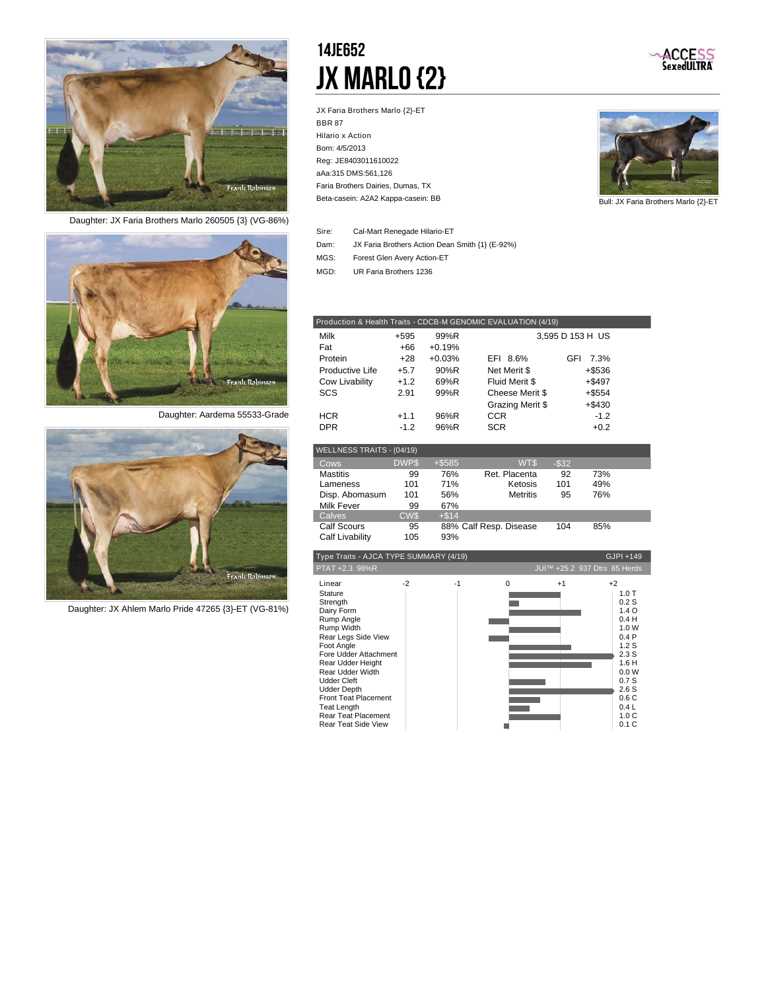

*Daughter: JX Faria Brothers Marlo 260505 {3} (VG-86%)*



*Daughter: Aardema 55533-Grade*



*Daughter: JX Ahlem Marlo Pride 47265 {3}-ET (VG-81%)*

### 14JE652 JX MARLO {2}

JX Faria Brothers Marlo {2}-ET BBR 87 Hilario x Action Born: 4/5/2013 Reg: JE8403011610022 aAa:315 DMS:561,126 Beta-casein: A2A2 Kappa-casein: BB Faria Brothers Dairies, Dumas, TX



ACCESS<br>SexedULTRA

Bull: JX Faria Brothers Marlo {2}-ET

| Sire: | Cal-Mart Renegade Hilario-ET                    |
|-------|-------------------------------------------------|
| Dam:  | JX Faria Brothers Action Dean Smith {1} (E-92%) |
| MGS:  | Forest Glen Avery Action-ET                     |
| MGD:  | UR Faria Brothers 1236                          |

| Production & Health Traits - CDCB-M GENOMIC EVALUATION (4/19) |        |          |                  |                  |  |  |  |
|---------------------------------------------------------------|--------|----------|------------------|------------------|--|--|--|
| Milk                                                          | $+595$ | 99%R     |                  | 3,595 D 153 H US |  |  |  |
| Fat                                                           | +66    | $+0.19%$ |                  |                  |  |  |  |
| Protein                                                       | $+28$  | $+0.03%$ | EFI 8.6%         | GFI<br>7.3%      |  |  |  |
| Productive Life                                               | $+5.7$ | 90%R     | Net Merit \$     | +\$536           |  |  |  |
| Cow Livability                                                | $+1.2$ | 69%R     | Fluid Merit \$   | $+$ \$497        |  |  |  |
| SCS                                                           | 2.91   | 99%R     | Cheese Merit \$  | $+$ \$554        |  |  |  |
|                                                               |        |          | Grazing Merit \$ | $+$ \$430        |  |  |  |
| <b>HCR</b>                                                    | $+1.1$ | 96%R     | <b>CCR</b>       | $-1.2$           |  |  |  |
| <b>DPR</b>                                                    | $-1.2$ | 96%R     | <b>SCR</b>       | $+0.2$           |  |  |  |

| WELLNESS TRAITS - (04/19) |             |          |                        |          |     |  |
|---------------------------|-------------|----------|------------------------|----------|-----|--|
| Cows                      | <b>DWPS</b> | $+ $585$ | WT\$                   | $-$ \$32 |     |  |
| <b>Mastitis</b>           | 99          | 76%      | Ret. Placenta          | 92       | 73% |  |
| Lameness                  | 101         | 71%      | Ketosis                | 101      | 49% |  |
| Disp. Abomasum            | 101         | 56%      | <b>Metritis</b>        | 95       | 76% |  |
| Milk Fever                | 99          | 67%      |                        |          |     |  |
| Calves                    | <b>CWS</b>  | $+ $14$  |                        |          |     |  |
| <b>Calf Scours</b>        | 95          |          | 88% Calf Resp. Disease | 104      | 85% |  |
| Calf Livability           | 105         | 93%      |                        |          |     |  |

| Type Traits - AJCA TYPE SUMMARY (4/19)                                                                                                                                                                                                                                                                                               |      |      |          |      | GJPI +149                                                                                                                                                      |
|--------------------------------------------------------------------------------------------------------------------------------------------------------------------------------------------------------------------------------------------------------------------------------------------------------------------------------------|------|------|----------|------|----------------------------------------------------------------------------------------------------------------------------------------------------------------|
| PTAT +2.3 98%R                                                                                                                                                                                                                                                                                                                       |      |      |          |      | JUI™ +25.2 937 Dtrs 85 Herds                                                                                                                                   |
| Linear<br>Stature<br>Strength<br>Dairy Form<br>Rump Angle<br>Rump Width<br>Rear Legs Side View<br>Foot Angle<br>Fore Udder Attachment<br>Rear Udder Height<br>Rear Udder Width<br><b>Udder Cleft</b><br><b>Udder Depth</b><br><b>Front Teat Placement</b><br><b>Teat Length</b><br>Rear Teat Placement<br><b>Rear Teat Side View</b> | $-2$ | $-1$ | $\Omega$ | $+1$ | $+2$<br>1.0T<br>0.2S<br>1.4 <sub>O</sub><br>0.4H<br>1.0 W<br>0.4P<br>1.2S<br>2.3S<br>1.6H<br>0.0 W<br>0.7S<br>2.6S<br>0.6C<br>0.4L<br>1.0 <sub>C</sub><br>0.1C |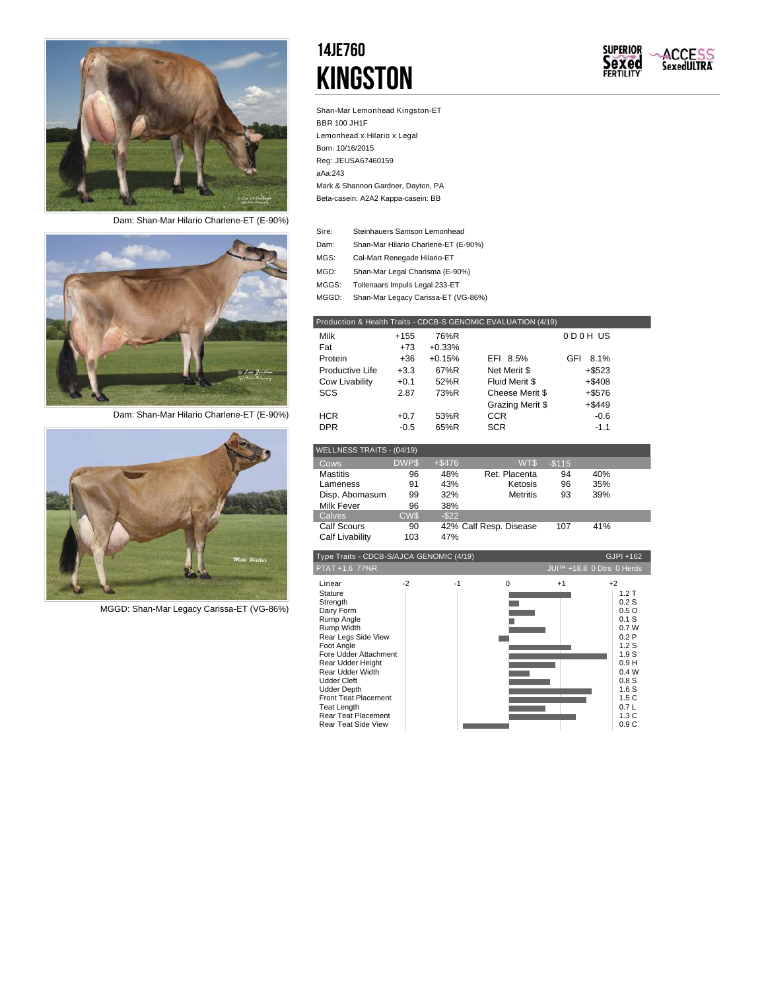

*Dam: Shan-Mar Hilario Charlene-ET (E-90%)*



*Dam: Shan-Mar Hilario Charlene-ET (E-90%)*



*MGGD: Shan-Mar Legacy Carissa-ET (VG-86%)*

### 14JE760 **KINGSTON**



Shan-Mar Lemonhead Kingston-ET BBR 100 JH1F Lemonhead x Hilario x Legal Born: 10/16/2015 Reg: JEUSA67460159 aAa:243 Beta-casein: A2A2 Kappa-casein: BB Mark & Shannon Gardner, Dayton, PA

| Sire: | Steinhauers Samson Lemonhead         |
|-------|--------------------------------------|
| Dam:  | Shan-Mar Hilario Charlene-ET (E-90%) |
| MGS:  | Cal-Mart Renegade Hilario-ET         |
| MGD:  | Shan-Mar Legal Charisma (E-90%)      |
| MGGS: | Tollenaars Impuls Legal 233-ET       |
| MGGD: | Shan-Mar Legacy Carissa-ET (VG-86%)  |
|       |                                      |

| Production & Health Traits - CDCB-S GENOMIC EVALUATION (4/19) |        |          |                  |             |  |  |  |
|---------------------------------------------------------------|--------|----------|------------------|-------------|--|--|--|
| Milk                                                          | $+155$ | 76%R     |                  | ODOH US     |  |  |  |
| Fat                                                           | $+73$  | $+0.33%$ |                  |             |  |  |  |
| Protein                                                       | +36    | $+0.15%$ | EFI 8.5%         | 8.1%<br>GFI |  |  |  |
| Productive Life                                               | $+3.3$ | 67%R     | Net Merit \$     | $+$ \$523   |  |  |  |
| Cow Livability                                                | $+0.1$ | 52%R     | Fluid Merit \$   | $+ $408$    |  |  |  |
| SCS                                                           | 2.87   | 73%R     | Cheese Merit \$  | $+ $576$    |  |  |  |
|                                                               |        |          | Grazing Merit \$ | $+ $449$    |  |  |  |
| <b>HCR</b>                                                    | $+0.7$ | 53%R     | <b>CCR</b>       | $-0.6$      |  |  |  |
| <b>DPR</b>                                                    | $-0.5$ | 65%R     | <b>SCR</b>       | $-1.1$      |  |  |  |

| WELLNESS TRAITS - (04/19) |             |          |                        |         |     |  |
|---------------------------|-------------|----------|------------------------|---------|-----|--|
| Cows                      | <b>DWPS</b> | $+ $476$ | WT\$                   | $-$115$ |     |  |
| <b>Mastitis</b>           | 96          | 48%      | Ret. Placenta          | 94      | 40% |  |
| Lameness                  | 91          | 43%      | Ketosis                | 96      | 35% |  |
| Disp. Abomasum            | 99          | 32%      | <b>Metritis</b>        | 93      | 39% |  |
| <b>Milk Fever</b>         | 96          | 38%      |                        |         |     |  |
| Calves                    | <b>CWS</b>  | $-$ \$22 |                        |         |     |  |
| Calf Scours               | 90          |          | 42% Calf Resp. Disease | 107     | 41% |  |
| Calf Livability           | 103         | 47%      |                        |         |     |  |

| Type Traits - CDCB-S/AJCA GENOMIC (4/19)<br>GJPI +162                                                                                                                                                                                                                                                                  |      |      |   |      |                                                                                                                                         |
|------------------------------------------------------------------------------------------------------------------------------------------------------------------------------------------------------------------------------------------------------------------------------------------------------------------------|------|------|---|------|-----------------------------------------------------------------------------------------------------------------------------------------|
| PTAT +1.6 77%R                                                                                                                                                                                                                                                                                                         |      |      |   |      | JUI™ +18.8 0 Dtrs 0 Herds                                                                                                               |
| Linear<br>Stature<br>Strength<br>Dairy Form<br>Rump Angle<br>Rump Width<br>Rear Legs Side View<br>Foot Angle<br>Fore Udder Attachment<br>Rear Udder Height<br>Rear Udder Width<br><b>Udder Cleft</b><br><b>Udder Depth</b><br><b>Front Teat Placement</b><br>Teat Length<br>Rear Teat Placement<br>Rear Teat Side View | $-2$ | $-1$ | 0 | $+1$ | $+2$<br>1.2T<br>0.2S<br>0.5O<br>$0.1$ S<br>0.7W<br>0.2P<br>1.2S<br>1.9S<br>0.9H<br>0.4W<br>0.8S<br>1.6S<br>1.5C<br>0.7L<br>1.3C<br>0.9C |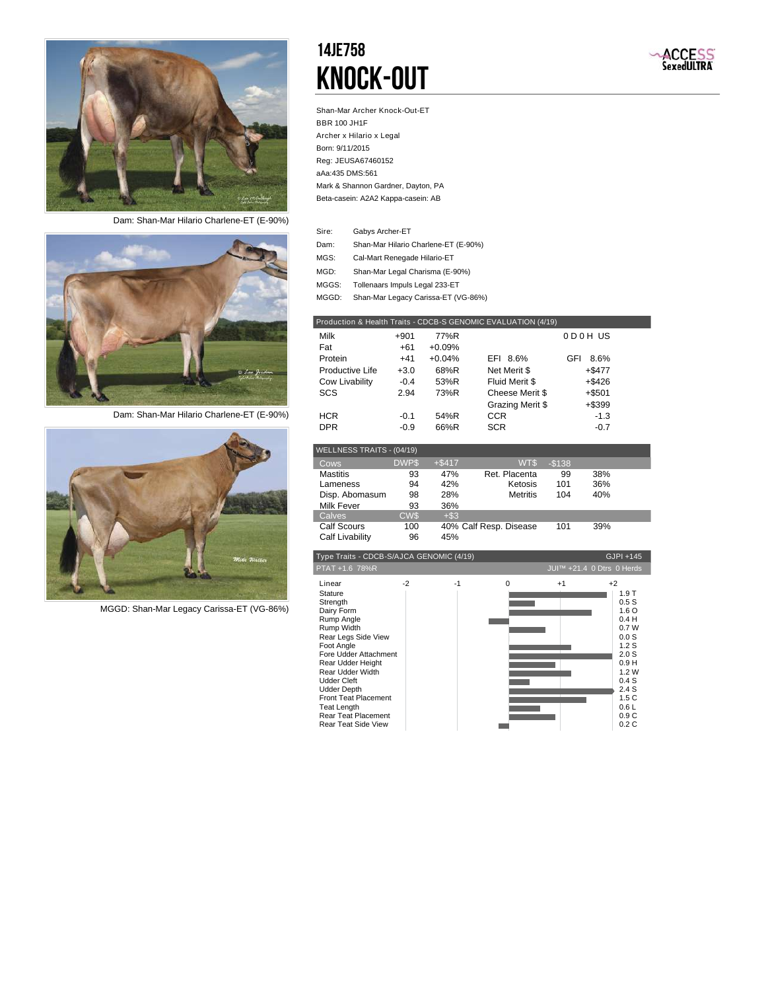

*Dam: Shan-Mar Hilario Charlene-ET (E-90%)*



*Dam: Shan-Mar Hilario Charlene-ET (E-90%)*



*MGGD: Shan-Mar Legacy Carissa-ET (VG-86%)*

### 14JE758 Knock-Out



Shan-Mar Archer Knock-Out-ET BBR 100 JH1F Archer x Hilario x Legal Born: 9/11/2015 Reg: JEUSA67460152 aAa:435 DMS:561 Beta-casein: A2A2 Kappa-casein: AB Mark & Shannon Gardner, Dayton, PA

| Sire: | Gabys Archer-ET                      |
|-------|--------------------------------------|
| Dam:  | Shan-Mar Hilario Charlene-ET (E-90%) |
| MGS:  | Cal-Mart Renegade Hilario-ET         |
| MGD:  | Shan-Mar Legal Charisma (E-90%)      |
| MGGS: | Tollenaars Impuls Legal 233-ET       |
| MGGD: | Shan-Mar Legacy Carissa-ET (VG-86%)  |

| Production & Health Traits - CDCB-S GENOMIC EVALUATION (4/19) |        |          |                  |             |  |  |  |
|---------------------------------------------------------------|--------|----------|------------------|-------------|--|--|--|
| Milk                                                          | $+901$ | 77%R     |                  | ODOH US     |  |  |  |
| Fat                                                           | +61    | $+0.09%$ |                  |             |  |  |  |
| Protein                                                       | $+41$  | $+0.04%$ | EFI 8.6%         | GFI<br>8.6% |  |  |  |
| Productive Life                                               | $+3.0$ | 68%R     | Net Merit \$     | $+$ \$477   |  |  |  |
| Cow Livability                                                | $-0.4$ | 53%R     | Fluid Merit \$   | $+$ \$426   |  |  |  |
| <b>SCS</b>                                                    | 2.94   | 73%R     | Cheese Merit \$  | $+$ \$501   |  |  |  |
|                                                               |        |          | Grazing Merit \$ | $+$ \$399   |  |  |  |
| <b>HCR</b>                                                    | $-0.1$ | 54%R     | <b>CCR</b>       | $-1.3$      |  |  |  |
| <b>DPR</b>                                                    | $-0.9$ | 66%R     | <b>SCR</b>       | $-0.7$      |  |  |  |

| WELLNESS TRAITS - (04/19) |             |          |                        |         |     |  |
|---------------------------|-------------|----------|------------------------|---------|-----|--|
| Cows                      | <b>DWPS</b> | $+ $417$ | WT\$                   | $-$138$ |     |  |
| <b>Mastitis</b>           | 93          | 47%      | Ret. Placenta          | 99      | 38% |  |
| Lameness                  | 94          | 42%      | Ketosis                | 101     | 36% |  |
| Disp. Abomasum            | 98          | 28%      | <b>Metritis</b>        | 104     | 40% |  |
| Milk Fever                | 93          | 36%      |                        |         |     |  |
| Calves                    | <b>CWS</b>  | $+$ \$3  |                        |         |     |  |
| <b>Calf Scours</b>        | 100         |          | 40% Calf Resp. Disease | 101     | 39% |  |
| Calf Livability           | 96          | 45%      |                        |         |     |  |

| Type Traits - CDCB-S/AJCA GENOMIC (4/19)<br>GJPI +145                                                                                                                                                                                                                                                                                |      |      |   |      |                                                                                                                                                              |
|--------------------------------------------------------------------------------------------------------------------------------------------------------------------------------------------------------------------------------------------------------------------------------------------------------------------------------------|------|------|---|------|--------------------------------------------------------------------------------------------------------------------------------------------------------------|
| PTAT +1.6 78%R                                                                                                                                                                                                                                                                                                                       |      |      |   |      | JUI™ +21.4 0 Dtrs 0 Herds                                                                                                                                    |
| Linear<br>Stature<br>Strength<br>Dairy Form<br>Rump Angle<br>Rump Width<br>Rear Legs Side View<br>Foot Angle<br>Fore Udder Attachment<br>Rear Udder Height<br>Rear Udder Width<br><b>Udder Cleft</b><br><b>Udder Depth</b><br><b>Front Teat Placement</b><br><b>Teat Length</b><br>Rear Teat Placement<br><b>Rear Teat Side View</b> | $-2$ | $-1$ | 0 | $+1$ | $+2$<br>1.9T<br>0.5S<br>1.6 <sub>O</sub><br>0.4H<br>0.7W<br>0.0S<br>1.2S<br>2.0 <sub>S</sub><br>0.9H<br>1.2W<br>0.4S<br>2.4S<br>1.5C<br>0.6L<br>0.9C<br>0.2C |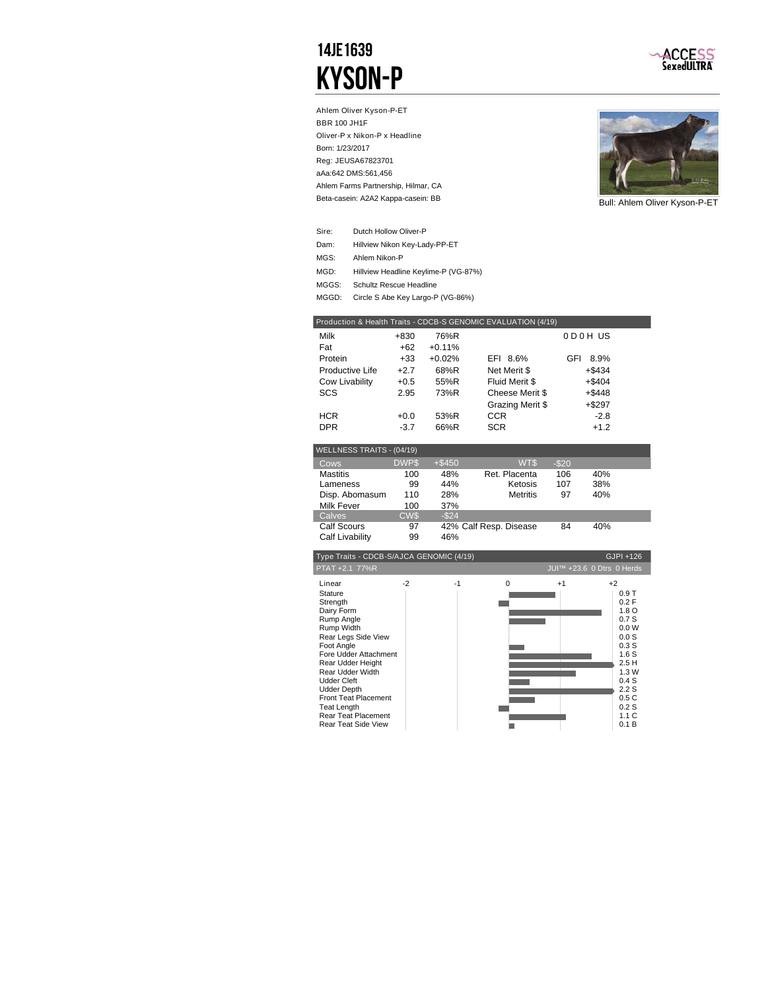### 14JE1639 Kyson-P



Ahlem Oliver Kyson-P-ET BBR 100 JH1F Oliver-P x Nikon-P x Headline Born: 1/23/2017 Reg: JEUSA67823701 aAa:642 DMS:561,456 Beta-casein: A2A2 Kappa-casein: BB Ahlem Farms Partnership, Hilmar, CA



Bull: Ahlem Oliver Kyson-P-ET

| Sire: | Dutch Hollow Oliver-P                |
|-------|--------------------------------------|
| Dam:  | Hillview Nikon Key-Lady-PP-ET        |
| MGS:  | Ahlem Nikon-P                        |
| MGD:  | Hillview Headline Keylime-P (VG-87%) |
| MGGS: | Schultz Rescue Headline              |
| MGGD: | Circle S Abe Key Largo-P (VG-86%)    |

| Production & Health Traits - CDCB-S GENOMIC EVALUATION (4/19) |        |          |                  |             |  |  |  |
|---------------------------------------------------------------|--------|----------|------------------|-------------|--|--|--|
| Milk                                                          | +830   | 76%R     |                  | ODOH US     |  |  |  |
| Fat                                                           | +62    | $+0.11%$ |                  |             |  |  |  |
| Protein                                                       | $+33$  | $+0.02%$ | EFI 8.6%         | GFI<br>8.9% |  |  |  |
| Productive Life                                               | $+2.7$ | 68%R     | Net Merit \$     | $+$ \$434   |  |  |  |
| Cow Livability                                                | $+0.5$ | 55%R     | Fluid Merit \$   | $+$ \$404   |  |  |  |
| <b>SCS</b>                                                    | 2.95   | 73%R     | Cheese Merit \$  | $+$ \$448   |  |  |  |
|                                                               |        |          | Grazing Merit \$ | $+$ \$297   |  |  |  |
| <b>HCR</b>                                                    | $+0.0$ | 53%R     | <b>CCR</b>       | $-2.8$      |  |  |  |
| <b>DPR</b>                                                    | $-3.7$ | 66%R     | <b>SCR</b>       | $+1.2$      |  |  |  |
|                                                               |        |          |                  |             |  |  |  |

| WELLNESS TRAITS - (04/19) |             |           |                        |        |     |  |
|---------------------------|-------------|-----------|------------------------|--------|-----|--|
| Cows                      | <b>DWPS</b> | $+$ \$450 | WT\$                   | $-$20$ |     |  |
| <b>Mastitis</b>           | 100         | 48%       | Ret. Placenta          | 106    | 40% |  |
| Lameness                  | 99          | 44%       | Ketosis                | 107    | 38% |  |
| Disp. Abomasum            | 110         | 28%       | <b>Metritis</b>        | 97     | 40% |  |
| <b>Milk Fever</b>         | 100         | 37%       |                        |        |     |  |
| Calves                    | CW\$        | $-$ \$24  |                        |        |     |  |
| <b>Calf Scours</b>        | 97          |           | 42% Calf Resp. Disease | 84     | 40% |  |
| Calf Livability           | 99          | 46%       |                        |        |     |  |

| Type Traits - CDCB-S/AJCA GENOMIC (4/19)                                                                                                                                                                                                                                                                        |      |    |          |      | GJPI +126                                                                                                                                           |
|-----------------------------------------------------------------------------------------------------------------------------------------------------------------------------------------------------------------------------------------------------------------------------------------------------------------|------|----|----------|------|-----------------------------------------------------------------------------------------------------------------------------------------------------|
| PTAT +2.1 77%R                                                                                                                                                                                                                                                                                                  |      |    |          |      | JUI™ +23.6 0 Dtrs 0 Herds                                                                                                                           |
| Linear<br>Stature<br>Strength<br>Dairy Form<br>Rump Angle<br>Rump Width<br>Rear Legs Side View<br>Foot Angle<br>Fore Udder Attachment<br>Rear Udder Height<br>Rear Udder Width<br><b>Udder Cleft</b><br><b>Udder Depth</b><br>Front Teat Placement<br>Teat Length<br>Rear Teat Placement<br>Rear Teat Side View | $-2$ | -1 | $\Omega$ | $+1$ | $+2$<br>0.9T<br>0.2 F<br>1.8 <sub>O</sub><br>0.7S<br>0.0 W<br>0.0S<br>0.3S<br>1.6S<br>2.5H<br>1.3W<br>0.4S<br>2.2S<br>0.5C<br>0.2S<br>1.1C<br>0.1 B |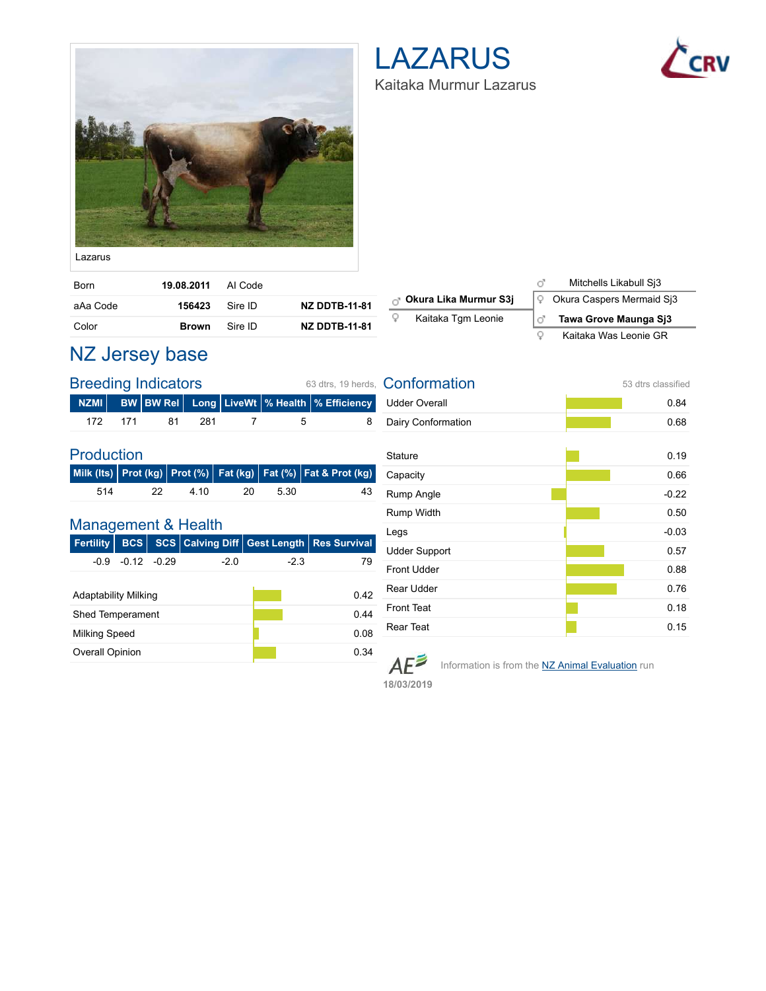

### LAZARUS Kaitaka Murmur Lazarus



| Born     | 19.08.2011 Al Code |         |                      |
|----------|--------------------|---------|----------------------|
| aAa Code | 156423             | Sire ID | <b>NZ DDTB-11-81</b> |
| Color    | Brown              | Sire ID | <b>NZ DDTB-11-81</b> |

| <sub>C</sub> Okura Lika Murmur S3j |  |  |  |  | $\sqrt{2}$ Okura Caspers Mermaid Sj3 |  |
|------------------------------------|--|--|--|--|--------------------------------------|--|
| Kaitaka Tgm Leonie<br>Q            |  |  |  |  | Tawa Grove Maunga Sj3                |  |
|                                    |  |  |  |  |                                      |  |

|   | Mitchells Likabull Si3    |
|---|---------------------------|
| Q | Okura Caspers Mermaid Sj3 |
|   |                           |
| ď | Tawa Grove Maunga Si3     |

### NZ Jersey base

| <b>Breeding Indicators</b><br>63 dtrs. 19 herds. |  |  |            |     |  |      |                                                            |  |
|--------------------------------------------------|--|--|------------|-----|--|------|------------------------------------------------------------|--|
|                                                  |  |  |            |     |  |      | NZMI │ BW BW Rel │ Long │ LiveWt │% Health │% Efficiency │ |  |
|                                                  |  |  | 172 171 81 | 281 |  | $-5$ |                                                            |  |

#### Production

|     |     |      |     |      | Milk (Its) Prot (kg) Prot (%) Fat (kg) Fat (%) Fat & Prot (kg) |
|-----|-----|------|-----|------|----------------------------------------------------------------|
| 514 | -22 | 4.10 | -20 | 5.30 | 43                                                             |

#### Management & Health

| <b>Fertility</b>            | <b>BCS</b>     |  |       |        | <b>SCS Calving Diff Gest Length Res Survival</b> |  |  |
|-----------------------------|----------------|--|-------|--------|--------------------------------------------------|--|--|
| -0.9                        | $-0.12 - 0.29$ |  | $-20$ | $-2.3$ | 79                                               |  |  |
|                             |                |  |       |        |                                                  |  |  |
| <b>Adaptability Milking</b> |                |  |       |        | 0.42                                             |  |  |
| <b>Shed Temperament</b>     |                |  |       |        | 0 44                                             |  |  |
| Milking Speed               |                |  |       | 0.08   |                                                  |  |  |
| <b>Overall Opinion</b>      |                |  |       |        | ი 34                                             |  |  |

| Conformation         | 53 dtrs classified |
|----------------------|--------------------|
| <b>Udder Overall</b> | 0.84               |
| Dairy Conformation   | 0.68               |
|                      |                    |
| <b>Stature</b>       | 0.19               |
| Capacity             | 0.66               |
| Rump Angle           | $-0.22$            |
| Rump Width           | 0.50               |
| Legs                 | $-0.03$            |
| <b>Udder Support</b> | 0.57               |
| <b>Front Udder</b>   | 0.88               |
| Rear Udder           | 0.76               |
| <b>Front Teat</b>    | 0.18               |
| <b>Rear Teat</b>     | 0.15               |

 $AE^{\geq}$ 

Information is from the **NZ Animal Evaluation** run

**18/03/2019**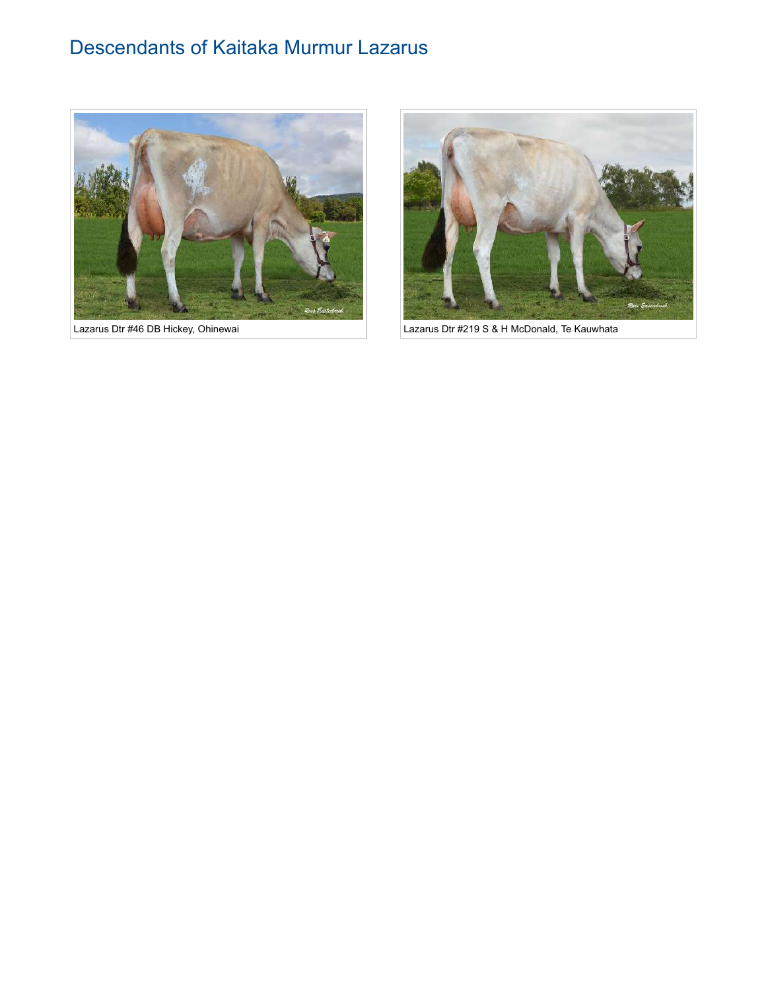### Descendants of Kaitaka Murmur Lazarus





Lazarus Dtr #46 DB Hickey, Ohinewai **Lazarus Dtr #219 S & H McDonald, Te Kauwhata**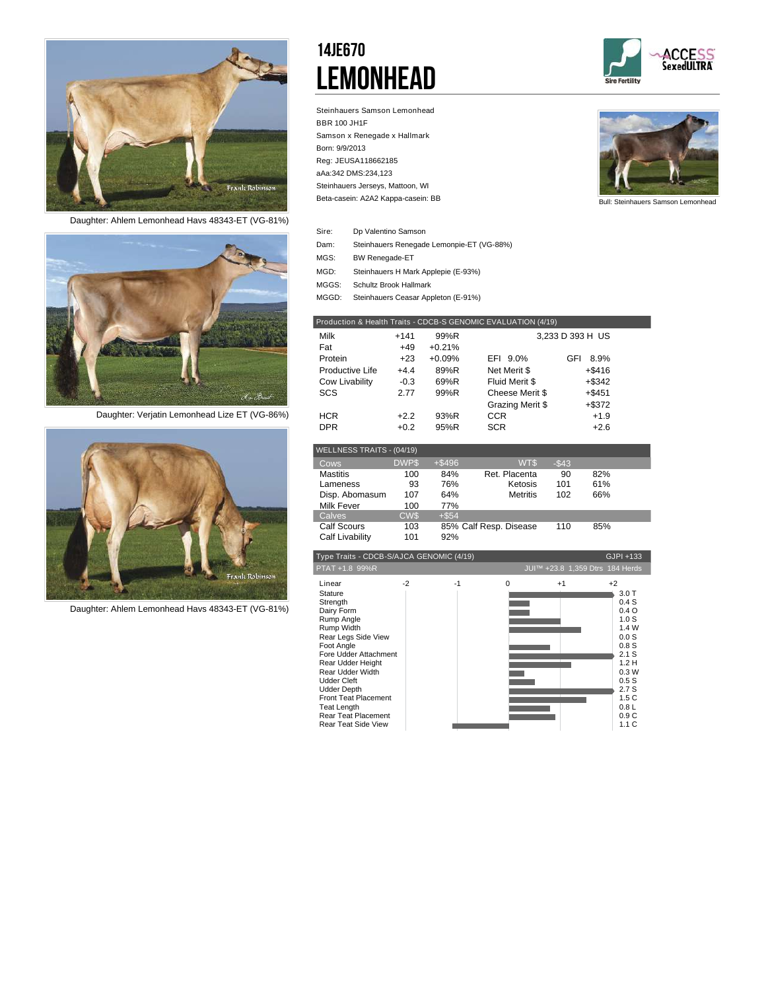

*Daughter: Ahlem Lemonhead Havs 48343-ET (VG-81%)*



*Daughter: Verjatin Lemonhead Lize ET (VG-86%)*



*Daughter: Ahlem Lemonhead Havs 48343-ET (VG-81%)*

### 14JE670 **LEMONHEAD**







Bull: Steinhauers Samson Lemonhead

| Sire: | Dp Valentino Samson                       |
|-------|-------------------------------------------|
| Dam:  | Steinhauers Renegade Lemonpie-ET (VG-88%) |

- BW Renegade-ET MGS:
- Steinhauers H Mark Applepie (E-93%) MGD:
- Schultz Brook Hallmark MGGS:

Steinhauers Ceasar Appleton (E-91%) MGGD:

|                 |        |          | Production & Health Traits - CDCB-S GENOMIC EVALUATION (4/19) |                  |  |
|-----------------|--------|----------|---------------------------------------------------------------|------------------|--|
| Milk            | $+141$ | 99%R     |                                                               | 3,233 D 393 H US |  |
| Fat             | $+49$  | $+0.21%$ |                                                               |                  |  |
| Protein         | $+23$  | $+0.09%$ | EFI 9.0%                                                      | GFI<br>8.9%      |  |
| Productive Life | $+4.4$ | 89%R     | Net Merit \$                                                  | $+$ \$416        |  |
| Cow Livability  | $-0.3$ | 69%R     | Fluid Merit \$                                                | $+$ \$342        |  |
| SCS             | 2.77   | 99%R     | Cheese Merit \$                                               | $+ $451$         |  |
|                 |        |          | Grazing Merit \$                                              | $+$ \$372        |  |
| <b>HCR</b>      | $+2.2$ | 93%R     | <b>CCR</b>                                                    | $+1.9$           |  |
| <b>DPR</b>      | $+0.2$ | 95%R     | <b>SCR</b>                                                    | $+2.6$           |  |

| WELLNESS TRAITS - (04/19) |             |          |                        |          |     |  |
|---------------------------|-------------|----------|------------------------|----------|-----|--|
| Cows                      | <b>DWPS</b> | $+ $496$ | WT\$                   | $-$ \$43 |     |  |
| <b>Mastitis</b>           | 100         | 84%      | Ret. Placenta          | 90       | 82% |  |
| Lameness                  | 93          | 76%      | Ketosis                | 101      | 61% |  |
| Disp. Abomasum            | 107         | 64%      | <b>Metritis</b>        | 102      | 66% |  |
| Milk Fever                | 100         | 77%      |                        |          |     |  |
| Calves                    | <b>CWS</b>  | $+$ \$54 |                        |          |     |  |
| <b>Calf Scours</b>        | 103         |          | 85% Calf Resp. Disease | 110      | 85% |  |
| Calf Livability           | 101         | 92%      |                        |          |     |  |

| PTAT +1.8 99%R                                                                                                                                                                                                                                                                                                                                                    | JUI™ +23.8 1,359 Dtrs 184 Herds<br>$+2$                                                                                        |
|-------------------------------------------------------------------------------------------------------------------------------------------------------------------------------------------------------------------------------------------------------------------------------------------------------------------------------------------------------------------|--------------------------------------------------------------------------------------------------------------------------------|
|                                                                                                                                                                                                                                                                                                                                                                   |                                                                                                                                |
| Linear<br>$-2$<br>$-1$<br>0<br>$+1$<br><b>Stature</b><br>Strength<br>Dairy Form<br>Rump Angle<br>Rump Width<br>Rear Legs Side View<br>Foot Angle<br>Fore Udder Attachment<br>Rear Udder Height<br>Rear Udder Width<br><b>Udder Cleft</b><br><b>Udder Depth</b><br><b>Front Teat Placement</b><br>Teat Length<br>Rear Teat Placement<br><b>Rear Teat Side View</b> | 3.0T<br>0.4S<br>0.4O<br>1.0S<br>1.4 W<br>0.0S<br>0.8S<br>2.1 S<br>1.2H<br>0.3W<br>0.5S<br>2.7S<br>1.5C<br>0.8L<br>0.9C<br>1.1C |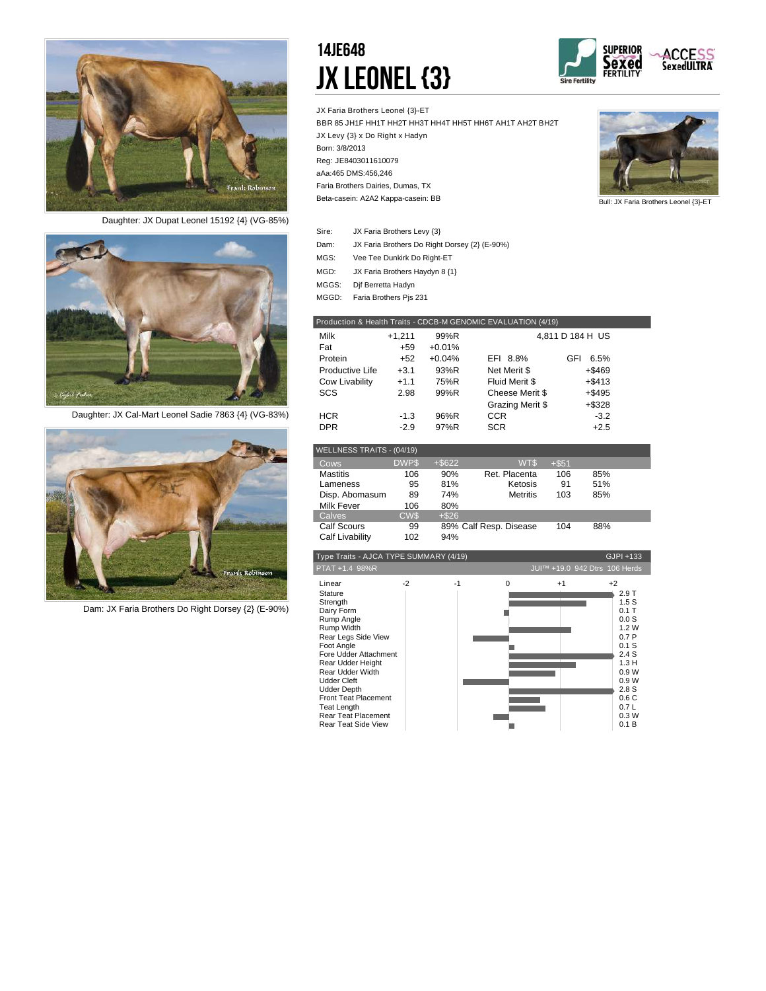

*Daughter: JX Dupat Leonel 15192 {4} (VG-85%)*



*Daughter: JX Cal-Mart Leonel Sadie 7863 {4} (VG-83%)*



*Dam: JX Faria Brothers Do Right Dorsey {2} (E-90%)*

### 14JE648 JX LEONEL {3}



JX Faria Brothers Leonel {3}-ET BBR 85 JH1F HH1T HH2T HH3T HH4T HH5T HH6T AH1T AH2T BH2T JX Levy {3} x Do Right x Hadyn Born: 3/8/2013 Reg: JE8403011610079 aAa:465 DMS:456,246 Beta-casein: A2A2 Kappa-casein: BB Faria Brothers Dairies, Dumas, TX



Bull: JX Faria Brothers Leonel {3}-ET

| Sire: | JX Faria Brothers Levy {3}                    |
|-------|-----------------------------------------------|
| Dam:  | JX Faria Brothers Do Right Dorsey {2} (E-90%) |
| MGS:  | Vee Tee Dunkirk Do Right-ET                   |

- JX Faria Brothers Haydyn 8 {1} MGD:
- 
- MGGS: Dif Berretta Hadyn MGGD: Faria Brothers Pjs 231

| Production & Health Traits - CDCB-M GENOMIC EVALUATION (4/19) |          |          |                  |                  |  |  |  |
|---------------------------------------------------------------|----------|----------|------------------|------------------|--|--|--|
| Milk                                                          | $+1,211$ | 99%R     |                  | 4.811 D 184 H US |  |  |  |
| Fat                                                           | $+59$    | $+0.01%$ |                  |                  |  |  |  |
| Protein                                                       | $+52$    | $+0.04%$ | EFI 8.8%         | 6.5%<br>GFI      |  |  |  |
| Productive Life                                               | $+3.1$   | 93%R     | Net Merit \$     | $+$ \$469        |  |  |  |
| Cow Livability                                                | $+1.1$   | 75%R     | Fluid Merit \$   | $+ $413$         |  |  |  |
| SCS                                                           | 2.98     | 99%R     | Cheese Merit \$  | $+$ \$495        |  |  |  |
|                                                               |          |          | Grazing Merit \$ | +\$328           |  |  |  |
| <b>HCR</b>                                                    | $-1.3$   | 96%R     | <b>CCR</b>       | $-3.2$           |  |  |  |
| <b>DPR</b>                                                    | $-2.9$   | 97%R     | <b>SCR</b>       | $+2.5$           |  |  |  |

| WELLNESS TRAITS - (04/19) |             |           |                        |         |     |  |
|---------------------------|-------------|-----------|------------------------|---------|-----|--|
| Cows                      | <b>DWPS</b> | $+$ \$622 | WT\$                   | $+ $51$ |     |  |
| <b>Mastitis</b>           | 106         | 90%       | Ret. Placenta          | 106     | 85% |  |
| Lameness                  | 95          | 81%       | Ketosis                | 91      | 51% |  |
| Disp. Abomasum            | 89          | 74%       | <b>Metritis</b>        | 103     | 85% |  |
| <b>Milk Fever</b>         | 106         | 80%       |                        |         |     |  |
| Calves                    | <b>CWS</b>  | $+ $26$   |                        |         |     |  |
| <b>Calf Scours</b>        | 99          |           | 89% Calf Resp. Disease | 104     | 88% |  |
| Calf Livability           | 102         | 94%       |                        |         |     |  |

| Type Traits - AJCA TYPE SUMMARY (4/19)                                                                                                                                                                                                                                                                                               |      |      |          | GJPI +133                     |                                                                                                                                          |
|--------------------------------------------------------------------------------------------------------------------------------------------------------------------------------------------------------------------------------------------------------------------------------------------------------------------------------------|------|------|----------|-------------------------------|------------------------------------------------------------------------------------------------------------------------------------------|
| PTAT +1.4 98%R                                                                                                                                                                                                                                                                                                                       |      |      |          | JUI™ +19.0 942 Dtrs 106 Herds |                                                                                                                                          |
| Linear<br>Stature<br>Strength<br>Dairy Form<br>Rump Angle<br>Rump Width<br>Rear Legs Side View<br>Foot Angle<br>Fore Udder Attachment<br>Rear Udder Height<br>Rear Udder Width<br><b>Udder Cleft</b><br><b>Udder Depth</b><br><b>Front Teat Placement</b><br><b>Teat Length</b><br>Rear Teat Placement<br><b>Rear Teat Side View</b> | $-2$ | $-1$ | $\Omega$ | $+1$                          | $+2$<br>2.9T<br>1.5S<br>$0.1$ T<br>0.0S<br>1.2W<br>0.7P<br>0.1S<br>2.4S<br>1.3H<br>0.9W<br>0.9W<br>2.8S<br>0.6C<br>0.7L<br>0.3W<br>0.1 B |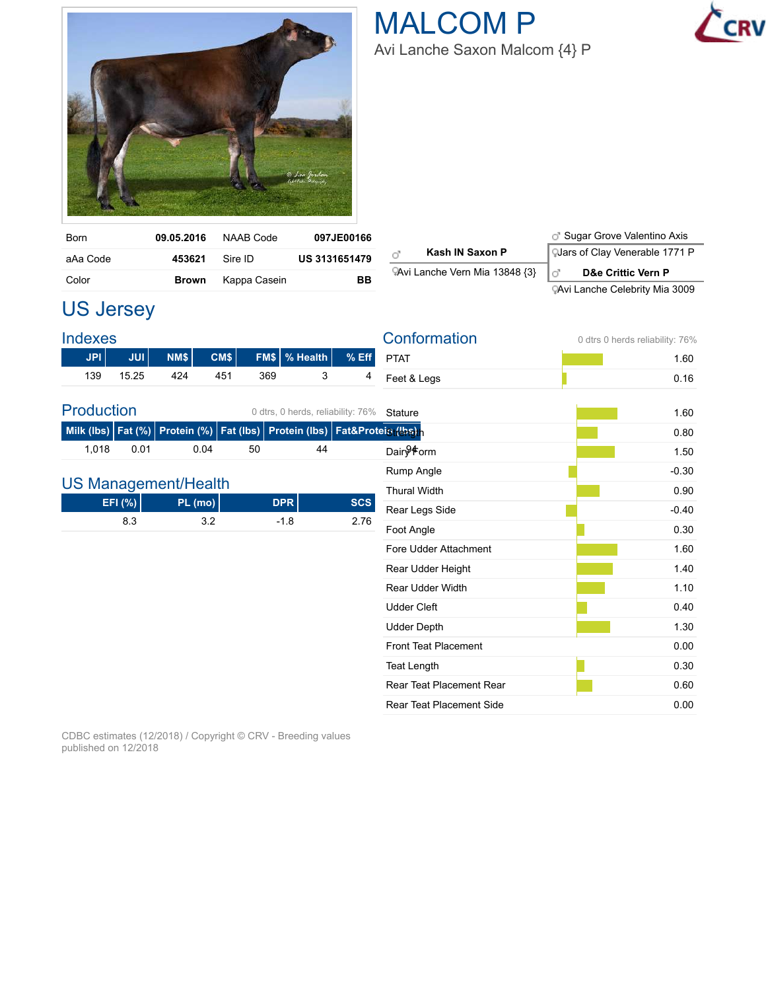

| <b>Born</b> | 09.05.2016   | NAAB Code    | 097JE00166           |
|-------------|--------------|--------------|----------------------|
| aAa Code    | 453621       | Sire ID      | <b>US 3131651479</b> |
| Color       | <b>Brown</b> | Kappa Casein | ВB                   |

|                                | <b>J</b> Sugar Grove Valentino Axis   |
|--------------------------------|---------------------------------------|
| Kash IN Saxon P<br>ď           | <b>QJars of Clay Venerable 1771 P</b> |
| PAvi Lanche Vern Mia 13848 {3} | <b>D&amp;e Crittic Vern P</b><br>l d' |
|                                | <b>CAvi Lanche Celebrity Mia 3009</b> |

### US Jersey

| <b>Indexes</b>    |                                    |      |         |     |                                             |            | Conformation                    | 0 dtrs 0 herds reliability: 76% |
|-------------------|------------------------------------|------|---------|-----|---------------------------------------------|------------|---------------------------------|---------------------------------|
| <b>JPI</b>        | JUI                                | NM\$ | CM\$    |     | FM\$ % Health                               | $%$ Eff    | <b>PTAT</b>                     | 1.60                            |
| 139               | 15.25                              | 424  | 451     | 369 | 3                                           | 4          | Feet & Legs                     | 0.16                            |
| <b>Production</b> |                                    |      |         |     | 0 dtrs, 0 herds, reliability: 76%           |            | Stature                         | 1.60                            |
|                   | Milk (lbs)   Fat (%)   Protein (%) |      |         |     | Fat (lbs) Protein (lbs) Fat&Proteis (ths) h |            |                                 | 0.80                            |
| 1,018             | 0.01                               |      | 0.04    | 50  | 44                                          |            | Dair <sup>94</sup> orm          | 1.50                            |
|                   |                                    |      |         |     |                                             |            | Rump Angle                      | $-0.30$                         |
|                   | <b>US Management/Health</b>        |      |         |     |                                             |            | <b>Thural Width</b>             | 0.90                            |
|                   | EFI (%)                            |      | PL (mo) |     | <b>DPR</b>                                  | <b>SCS</b> | Rear Legs Side                  | $-0.40$                         |
|                   | 8.3                                |      | 3.2     |     | $-1.8$                                      | 2.76       | Foot Angle                      | 0.30                            |
|                   |                                    |      |         |     |                                             |            | Fore Udder Attachment           | 1.60                            |
|                   |                                    |      |         |     |                                             |            | Rear Udder Height               | 1.40                            |
|                   |                                    |      |         |     |                                             |            | <b>Rear Udder Width</b>         | 1.10                            |
|                   |                                    |      |         |     |                                             |            | <b>Udder Cleft</b>              | 0.40                            |
|                   |                                    |      |         |     |                                             |            | <b>Udder Depth</b>              | 1.30                            |
|                   |                                    |      |         |     |                                             |            | <b>Front Teat Placement</b>     | 0.00                            |
|                   |                                    |      |         |     |                                             |            | <b>Teat Length</b>              | 0.30                            |
|                   |                                    |      |         |     |                                             |            | <b>Rear Teat Placement Rear</b> | 0.60                            |
|                   |                                    |      |         |     |                                             |            | <b>Rear Teat Placement Side</b> | 0.00                            |

CDBC estimates (12/2018) / Copyright © CRV - Breeding values published on 12/2018

### MALCOM P Avi Lanche Saxon Malcom {4} P

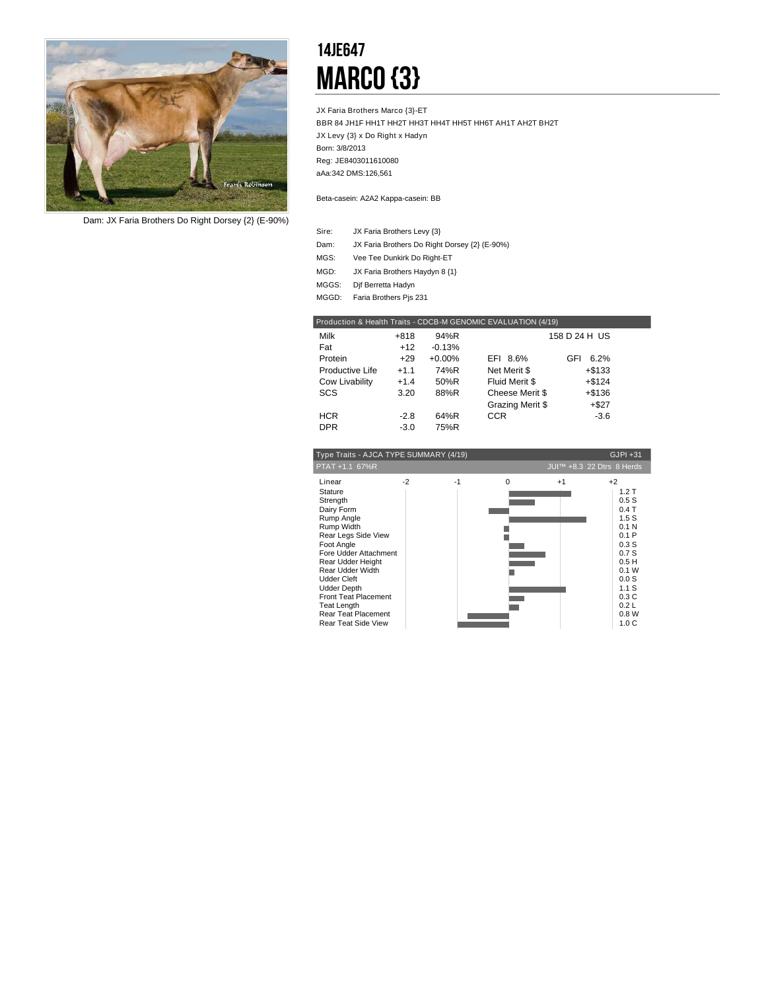

*Dam: JX Faria Brothers Do Right Dorsey {2} (E-90%)*

### 14JE647 **MARCO {3}**

JX Faria Brothers Marco {3}-ET BBR 84 JH1F HH1T HH2T HH3T HH4T HH5T HH6T AH1T AH2T BH2T JX Levy {3} x Do Right x Hadyn Born: 3/8/2013 Reg: JE8403011610080 aAa:342 DMS:126,561

Beta-casein: A2A2 Kappa-casein: BB

- JX Faria Brothers Levy {3} Sire:
- Dam: JX Faria Brothers Do Right Dorsey {2} (E-90%)
- Vee Tee Dunkirk Do Right-ET MGS:
- JX Faria Brothers Haydyn 8 {1} MGD:
- MGGS: Dif Berretta Hadyn
- MGGD: Faria Brothers Pjs 231

| Production & Health Traits - CDCB-M GENOMIC EVALUATION (4/19) |        |          |                  |               |  |  |  |
|---------------------------------------------------------------|--------|----------|------------------|---------------|--|--|--|
| Milk                                                          | $+818$ | 94%R     |                  | 158 D 24 H US |  |  |  |
| Fat                                                           | $+12$  | $-0.13%$ |                  |               |  |  |  |
| Protein                                                       | $+29$  | $+0.00%$ | EFI 8.6%         | 6.2%<br>GFI   |  |  |  |
| Productive Life                                               | $+1.1$ | 74%R     | Net Merit \$     | $+$ \$133     |  |  |  |
| Cow Livability                                                | $+1.4$ | 50%R     | Fluid Merit \$   | $+ $124$      |  |  |  |
| SCS                                                           | 3.20   | 88%R     | Cheese Merit \$  | $+ $136$      |  |  |  |
|                                                               |        |          | Grazing Merit \$ | $+ $27$       |  |  |  |
| <b>HCR</b>                                                    | $-2.8$ | 64%R     | <b>CCR</b>       | $-3.6$        |  |  |  |
| <b>DPR</b>                                                    | $-3.0$ | 75%R     |                  |               |  |  |  |

| Type Traits - AJCA TYPE SUMMARY (4/19)                                                                                                                                                                                                                                                                                        |      |      |   |      |                                                                                                                                                   |  |
|-------------------------------------------------------------------------------------------------------------------------------------------------------------------------------------------------------------------------------------------------------------------------------------------------------------------------------|------|------|---|------|---------------------------------------------------------------------------------------------------------------------------------------------------|--|
| PTAT +1.1 67%R<br>JUI™ +8.3 22 Dtrs 8 Herds                                                                                                                                                                                                                                                                                   |      |      |   |      |                                                                                                                                                   |  |
| Linear<br>Stature<br>Strength<br>Dairy Form<br>Rump Angle<br>Rump Width<br>Rear Legs Side View<br>Foot Angle<br>Fore Udder Attachment<br>Rear Udder Height<br>Rear Udder Width<br><b>Udder Cleft</b><br><b>Udder Depth</b><br><b>Front Teat Placement</b><br>Teat Length<br>Rear Teat Placement<br><b>Rear Teat Side View</b> | $-2$ | $-1$ | 0 | $+1$ | $+2$<br>1.2T<br>0.5S<br>0.4T<br>1.5S<br>0.1 <sub>N</sub><br>0.1P<br>0.3S<br>0.7S<br>0.5H<br>0.1 W<br>0.0S<br>1.1S<br>0.3C<br>0.2L<br>0.8W<br>1.0C |  |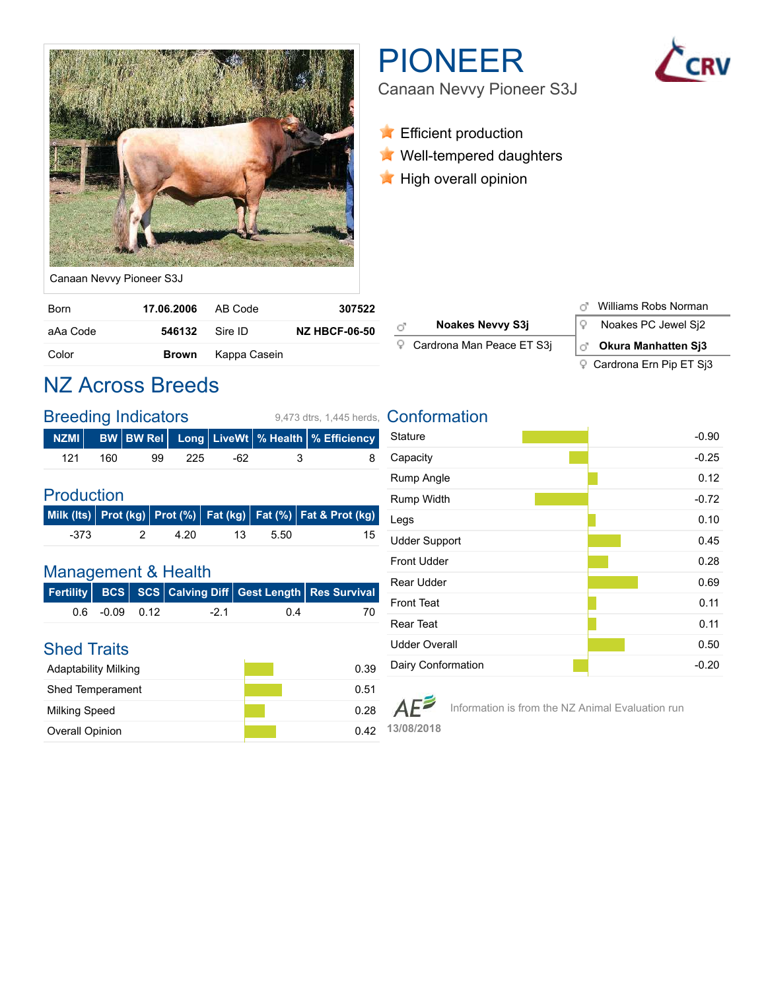

# PIONEER

Canaan Nevvy Pioneer S3J

- **Efficient production**
- **Well-tempered daughters**
- **High overall opinion**

Canaan Nevvy Pioneer S3J

| <b>Born</b> | <b>17.06.2006</b> AB Code |                           | 307522               |
|-------------|---------------------------|---------------------------|----------------------|
| aAa Code    | 546132 Sire ID            |                           | <b>NZ HBCF-06-50</b> |
| Color       |                           | <b>Brown</b> Kappa Casein |                      |

### NZ Across Breeds

|     |     | <b>Breeding Indicators</b> |       | 9.473 dtrs. 1.445 herds. |    |                                                     |
|-----|-----|----------------------------|-------|--------------------------|----|-----------------------------------------------------|
|     |     |                            |       |                          |    | NZMI│ BW│BW Rel│ Long│LiveWt│% Health│% Efficiency│ |
| 121 | 160 | 99                         | -225- | -62                      | -3 | 8                                                   |

#### Production

|      |    |      |                 |      | Milk (Its) Prot (kg) Prot (%) Fat (kg) Fat (%) Fat & Prot (kg) |
|------|----|------|-----------------|------|----------------------------------------------------------------|
| -373 | 2. | 4.20 | $\overline{13}$ | 5.50 |                                                                |

#### Management & Health

|                   |       |       | Fertility   BCS   SCS $ $ Calving Diff $ $ Gest Length $ $ Res Survival |
|-------------------|-------|-------|-------------------------------------------------------------------------|
| $0.6 - 0.09 0.12$ | $-21$ | . በ 4 |                                                                         |

#### Shed Traits

| <b>Adaptability Milking</b> | 0.39 |
|-----------------------------|------|
| <b>Shed Temperament</b>     | 0.51 |
| <b>Milking Speed</b>        | 0.28 |
| <b>Overall Opinion</b>      | በ 42 |

#### **Noakes Nevvy S3j**  $\sqrt{2}$  Noakes PC Jewel Sj2 ď Cardrona Man Peace ET S3j **Okura Manhatten Sj3**

Williams Robs Norman

#### Cardrona Ern Pip ET Sj3

#### **Conformation**

| <b>Stature</b>       | $-0.90$ |
|----------------------|---------|
| Capacity             | $-0.25$ |
| Rump Angle           | 0.12    |
| <b>Rump Width</b>    | $-0.72$ |
| Legs                 | 0.10    |
| <b>Udder Support</b> | 0.45    |
| <b>Front Udder</b>   | 0.28    |
| Rear Udder           | 0.69    |
| <b>Front Teat</b>    | 0.11    |
| <b>Rear Teat</b>     | 0.11    |
| <b>Udder Overall</b> | 0.50    |
| Dairy Conformation   | $-0.20$ |

Information is from the NZ Animal Evaluation run $AF$ 

**13/08/2018**

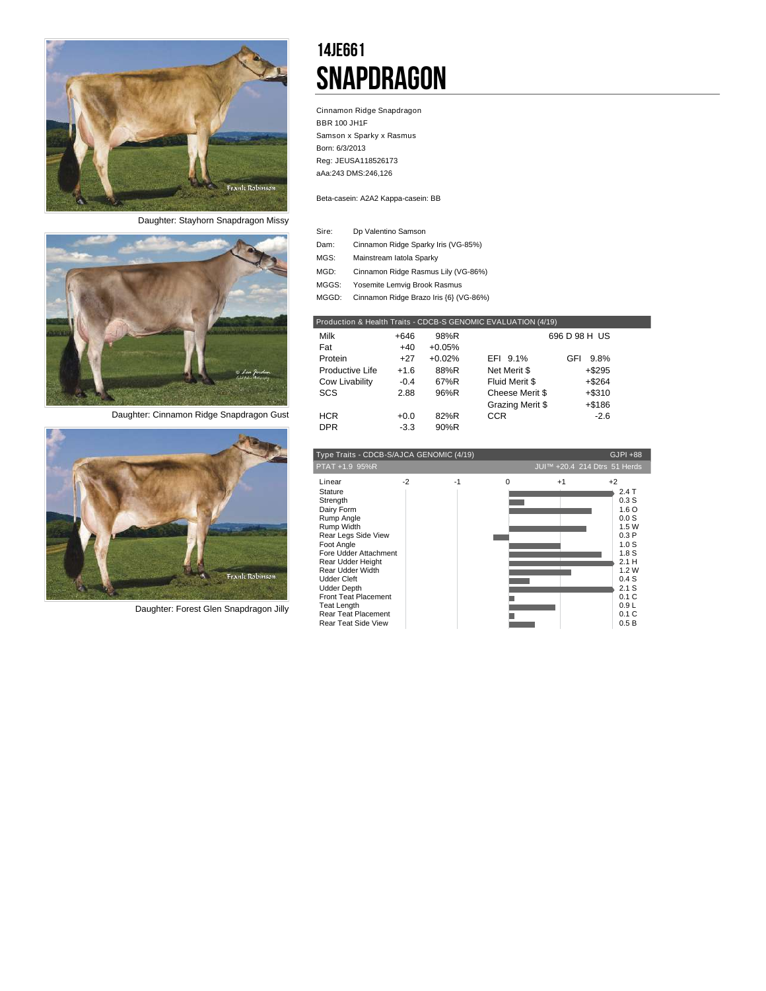

*Daughter: Stayhorn Snapdragon Missy*



*Daughter: Cinnamon Ridge Snapdragon Gust*



*Daughter: Forest Glen Snapdragon Jilly*

### 14JE661 **SNAPDRAGON**

Cinnamon Ridge Snapdragon BBR 100 JH1F Samson x Sparky x Rasmus Born: 6/3/2013 Reg: JEUSA118526173 aAa:243 DMS:246,126

Beta-casein: A2A2 Kappa-casein: BB

I

| Sire: | Dp Valentino Samson                    |
|-------|----------------------------------------|
| Dam:  | Cinnamon Ridge Sparky Iris (VG-85%)    |
| MGS:  | Mainstream latola Sparky               |
| MGD:  | Cinnamon Ridge Rasmus Lily (VG-86%)    |
| MGGS: | Yosemite Lemvig Brook Rasmus           |
| MGGD: | Cinnamon Ridge Brazo Iris {6} (VG-86%) |

|                 |        |          | Production & Health Traits - CDCB-S GENOMIC EVALUATION (4/19) |               |  |
|-----------------|--------|----------|---------------------------------------------------------------|---------------|--|
| Milk            | +646   | 98%R     |                                                               | 696 D 98 H US |  |
| Fat             | $+40$  | $+0.05%$ |                                                               |               |  |
| Protein         | $+27$  | $+0.02%$ | EFI 9.1%                                                      | 9.8%<br>GFI   |  |
| Productive Life | $+1.6$ | 88%R     | Net Merit \$                                                  | $+$ \$295     |  |
| Cow Livability  | $-0.4$ | 67%R     | Fluid Merit \$                                                | $+$ \$264     |  |
| SCS             | 2.88   | 96%R     | Cheese Merit \$                                               | $+$ \$310     |  |
|                 |        |          | Grazing Merit \$                                              | $+ $186$      |  |
| <b>HCR</b>      | $+0.0$ | 82%R     | <b>CCR</b>                                                    | $-2.6$        |  |
| <b>DPR</b>      | $-3.3$ | 90%R     |                                                               |               |  |

| Type Traits - CDCB-S/AJCA GENOMIC (4/19)                                                                                                                                                                                                                                                                                             |      |      |   |                              | GJPI +88                                                                                                                                                                   |
|--------------------------------------------------------------------------------------------------------------------------------------------------------------------------------------------------------------------------------------------------------------------------------------------------------------------------------------|------|------|---|------------------------------|----------------------------------------------------------------------------------------------------------------------------------------------------------------------------|
| PTAT +1.9 95%R                                                                                                                                                                                                                                                                                                                       |      |      |   | JUI™ +20.4 214 Dtrs 51 Herds |                                                                                                                                                                            |
| Linear<br>Stature<br>Strength<br>Dairy Form<br>Rump Angle<br>Rump Width<br>Rear Legs Side View<br>Foot Angle<br>Fore Udder Attachment<br>Rear Udder Height<br>Rear Udder Width<br><b>Udder Cleft</b><br><b>Udder Depth</b><br><b>Front Teat Placement</b><br><b>Teat Length</b><br>Rear Teat Placement<br><b>Rear Teat Side View</b> | $-2$ | $-1$ | O | $+1$                         | $+2$<br>2.4T<br>0.3S<br>1.6 <sub>O</sub><br>0.0S<br>1.5W<br>0.3P<br>1.0 <sub>S</sub><br>1.8 <sub>S</sub><br>2.1 H<br>1.2W<br>0.4S<br>2.1 S<br>0.1C<br>0.9L<br>0.1C<br>0.5B |